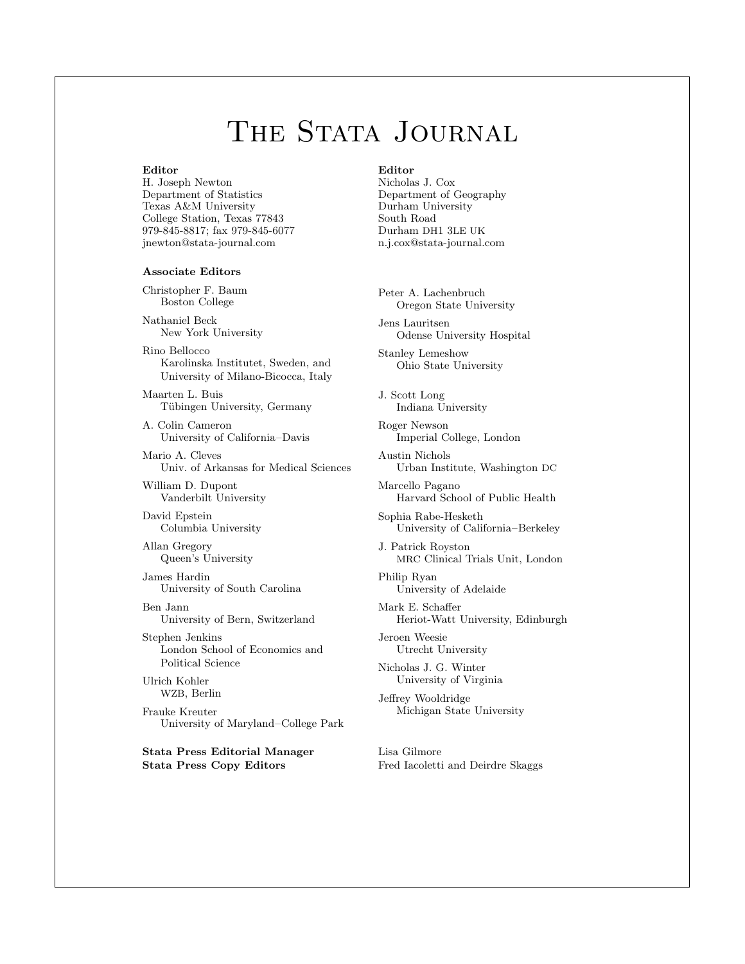# THE STATA JOURNAL

#### **Editor**

H. Joseph Newton Department of Statistics Texas A&M University College Station, Texas 77843 979-845-8817; fax 979-845-6077 jnewton@stata-journal.com

#### **Associate Editors**

Christopher F. Baum Boston College

Nathaniel Beck New York University

Rino Bellocco Karolinska Institutet, Sweden, and University of Milano-Bicocca, Italy

Maarten L. Buis Tübingen University, Germany

A. Colin Cameron University of California–Davis

Mario A. Cleves Univ. of Arkansas for Medical Sciences

William D. Dupont Vanderbilt University

David Epstein Columbia University

Allan Gregory Queen's University

James Hardin University of South Carolina

Ben Jann University of Bern, Switzerland

Stephen Jenkins London School of Economics and Political Science

Ulrich Kohler WZB, Berlin

Frauke Kreuter University of Maryland–College Park

**Stata Press Editorial Manager Stata Press Copy Editors**

#### **Editor**

- Nicholas J. Cox Department of Geography Durham University South Road Durham DH1 3LE UK n.j.cox@stata-journal.com
- Peter A. Lachenbruch Oregon State University

Jens Lauritsen Odense University Hospital

Stanley Lemeshow Ohio State University

J. Scott Long Indiana University

Roger Newson Imperial College, London

Austin Nichols Urban Institute, Washington DC

Marcello Pagano Harvard School of Public Health

Sophia Rabe-Hesketh University of California–Berkeley

J. Patrick Royston MRC Clinical Trials Unit, London

Philip Ryan University of Adelaide

Mark E. Schaffer Heriot-Watt University, Edinburgh

Jeroen Weesie Utrecht University

Nicholas J. G. Winter University of Virginia

Jeffrey Wooldridge Michigan State University

Lisa Gilmore Fred Iacoletti and Deirdre Skaggs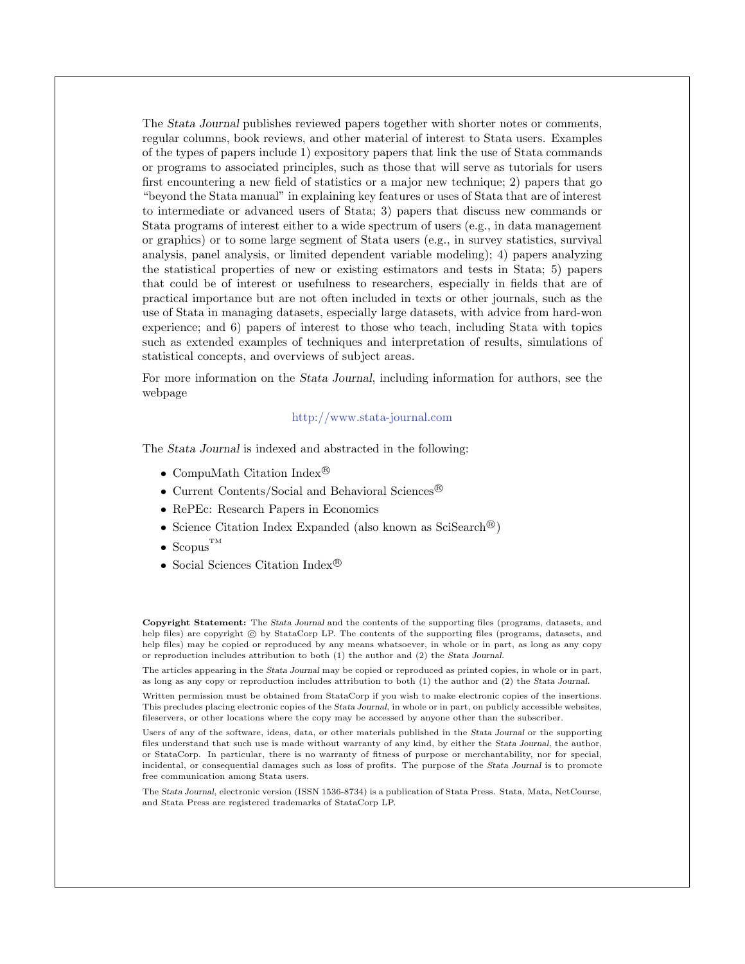The *Stata Journal* publishes reviewed papers together with shorter notes or comments, regular columns, book reviews, and other material of interest to Stata users. Examples of the types of papers include 1) expository papers that link the use of Stata commands or programs to associated principles, such as those that will serve as tutorials for users first encountering a new field of statistics or a major new technique; 2) papers that go "beyond the Stata manual" in explaining key features or uses of Stata that are of interest to intermediate or advanced users of Stata; 3) papers that discuss new commands or Stata programs of interest either to a wide spectrum of users (e.g., in data management or graphics) or to some large segment of Stata users (e.g., in survey statistics, survival analysis, panel analysis, or limited dependent variable modeling); 4) papers analyzing the statistical properties of new or existing estimators and tests in Stata; 5) papers that could be of interest or usefulness to researchers, especially in fields that are of practical importance but are not often included in texts or other journals, such as the use of Stata in managing datasets, especially large datasets, with advice from hard-won experience; and 6) papers of interest to those who teach, including Stata with topics such as extended examples of techniques and interpretation of results, simulations of statistical concepts, and overviews of subject areas.

For more information on the *Stata Journal*, including information for authors, see the webpage

#### <http://www.stata-journal.com>

The *Stata Journal* is indexed and abstracted in the following:

- CompuMath Citation Index<sup>®</sup>
- Current Contents/Social and Behavioral Sciences<sup>®</sup>
- RePEc: Research Papers in Economics
- Science Citation Index Expanded (also known as  $\text{SciSearch}^{(8)}$ )
- Scopus<sup>TM</sup>
- Social Sciences Citation Index<sup>®</sup>

**Copyright Statement:** The *Stata Journal* and the contents of the supporting files (programs, datasets, and help files) are copyright  $\odot$  by StataCorp LP. The contents of the supporting files (programs, datasets, and help files) may be copied or reproduced by any means whatsoever, in whole or in part, as long as any copy or reproduction includes attribution to both (1) the author and (2) the *Stata Journal*.

The articles appearing in the *Stata Journal* may be copied or reproduced as printed copies, in whole or in part, as long as any copy or reproduction includes attribution to both (1) the author and (2) the *Stata Journal*.

Written permission must be obtained from StataCorp if you wish to make electronic copies of the insertions. This precludes placing electronic copies of the *Stata Journal*, in whole or in part, on publicly accessible websites, fileservers, or other locations where the copy may be accessed by anyone other than the subscriber.

Users of any of the software, ideas, data, or other materials published in the *Stata Journal* or the supporting files understand that such use is made without warranty of any kind, by either the *Stata Journal*, the author, or StataCorp. In particular, there is no warranty of fitness of purpose or merchantability, nor for special, incidental, or consequential damages such as loss of profits. The purpose of the *Stata Journal* is to promote free communication among Stata users.

The *Stata Journal*, electronic version (ISSN 1536-8734) is a publication of Stata Press. Stata, Mata, NetCourse, and Stata Press are registered trademarks of StataCorp LP.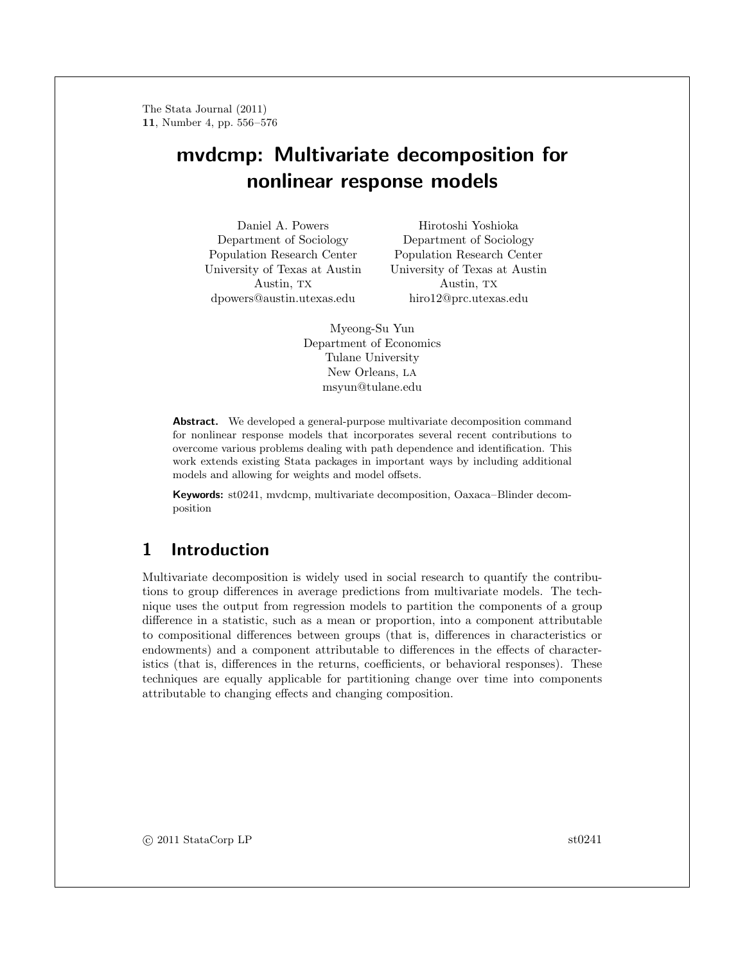## **mvdcmp: Multivariate decomposition for nonlinear response models**

Daniel A. Powers Department of Sociology Population Research Center University of Texas at Austin Austin, TX dpowers@austin.utexas.edu

Hirotoshi Yoshioka Department of Sociology Population Research Center University of Texas at Austin Austin, TX hiro12@prc.utexas.edu

Myeong-Su Yun Department of Economics Tulane University New Orleans, LA msyun@tulane.edu

**Abstract.** We developed a general-purpose multivariate decomposition command for nonlinear response models that incorporates several recent contributions to overcome various problems dealing with path dependence and identification. This work extends existing Stata packages in important ways by including additional models and allowing for weights and model offsets.

**Keywords:** st0241, mvdcmp, multivariate decomposition, Oaxaca–Blinder decomposition

## **1 Introduction**

Multivariate decomposition is widely used in social research to quantify the contributions to group differences in average predictions from multivariate models. The technique uses the output from regression models to partition the components of a group difference in a statistic, such as a mean or proportion, into a component attributable to compositional differences between groups (that is, differences in characteristics or endowments) and a component attributable to differences in the effects of characteristics (that is, differences in the returns, coefficients, or behavioral responses). These techniques are equally applicable for partitioning change over time into components attributable to changing effects and changing composition.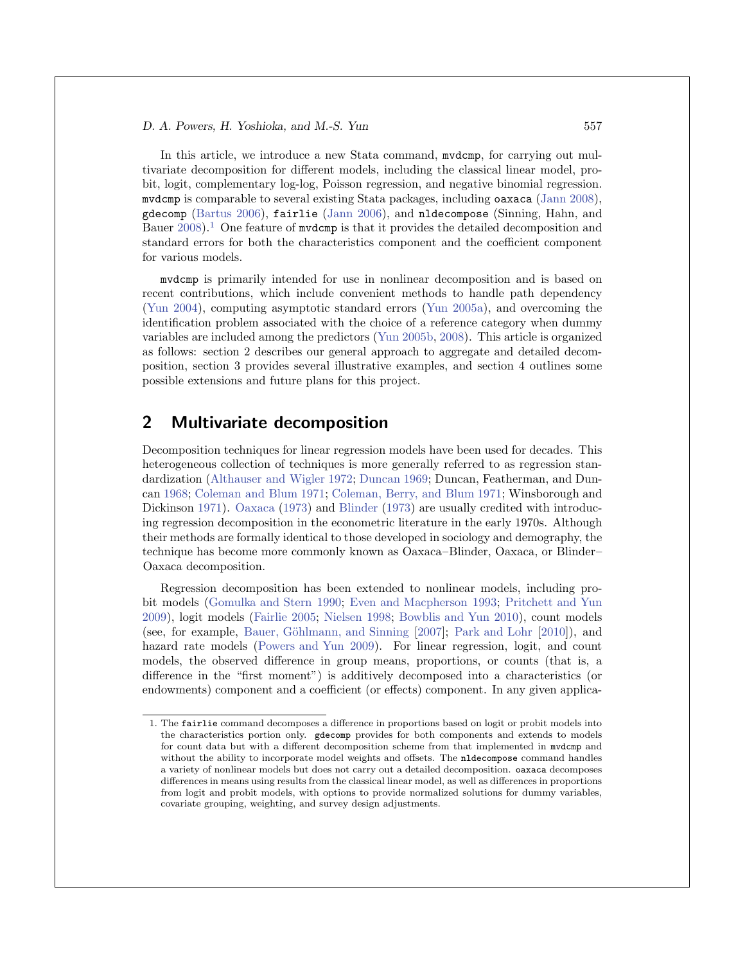In this article, we introduce a new Stata command, mvdcmp, for carrying out multivariate decomposition for different models, including the classical linear model, probit, logit, complementary log-log, Poisson regression, and negative binomial regression. mvdcmp is comparable to several existing Stata packages, including oaxaca (Jann 2008), gdecomp (Bartus 2006), fairlie (Jann 2006), and nldecompose (Sinning, Hahn, and Bauer  $2008$ .<sup>1</sup> One feature of mydcmp is that it provides the detailed decomposition and standard errors for both the characteristics component and the coefficient component for various models.

mvdcmp is primarily intended for use in nonlinear decomposition and is based on recent contributions, which include convenient methods to handle path dependency (Yun 2004), computing asymptotic standard errors (Yun 2005a), and overcoming the identification problem associated with the choice of a reference category when dummy variables are included among the predictors (Yun 2005b, 2008). This article is organized as follows: section 2 describes our general approach to aggregate and detailed decomposition, section 3 provides several illustrative examples, and section 4 outlines some possible extensions and future plans for this project.

### **2 Multivariate decomposition**

Decomposition techniques for linear regression models have been used for decades. This heterogeneous collection of techniques is more generally referred to as regression standardization (Althauser and Wigler 1972; Duncan 1969; Duncan, Featherman, and Duncan 1968; Coleman and Blum 1971; Coleman, Berry, and Blum 1971; Winsborough and Dickinson 1971). Oaxaca (1973) and Blinder (1973) are usually credited with introducing regression decomposition in the econometric literature in the early 1970s. Although their methods are formally identical to those developed in sociology and demography, the technique has become more commonly known as Oaxaca–Blinder, Oaxaca, or Blinder– Oaxaca decomposition.

Regression decomposition has been extended to nonlinear models, including probit models (Gomulka and Stern 1990; Even and Macpherson 1993; Pritchett and Yun 2009), logit models (Fairlie 2005; Nielsen 1998; Bowblis and Yun 2010), count models (see, for example, Bauer, Göhlmann, and Sinning  $[2007]$ ; Park and Lohr  $[2010]$ ), and hazard rate models (Powers and Yun 2009). For linear regression, logit, and count models, the observed difference in group means, proportions, or counts (that is, a difference in the "first moment") is additively decomposed into a characteristics (or endowments) component and a coefficient (or effects) component. In any given applica-

<sup>1.</sup> The fairlie command decomposes a difference in proportions based on logit or probit models into the characteristics portion only. gdecomp provides for both components and extends to models for count data but with a different decomposition scheme from that implemented in mvdcmp and without the ability to incorporate model weights and offsets. The nldecompose command handles a variety of nonlinear models but does not carry out a detailed decomposition. oaxaca decomposes differences in means using results from the classical linear model, as well as differences in proportions from logit and probit models, with options to provide normalized solutions for dummy variables, covariate grouping, weighting, and survey design adjustments.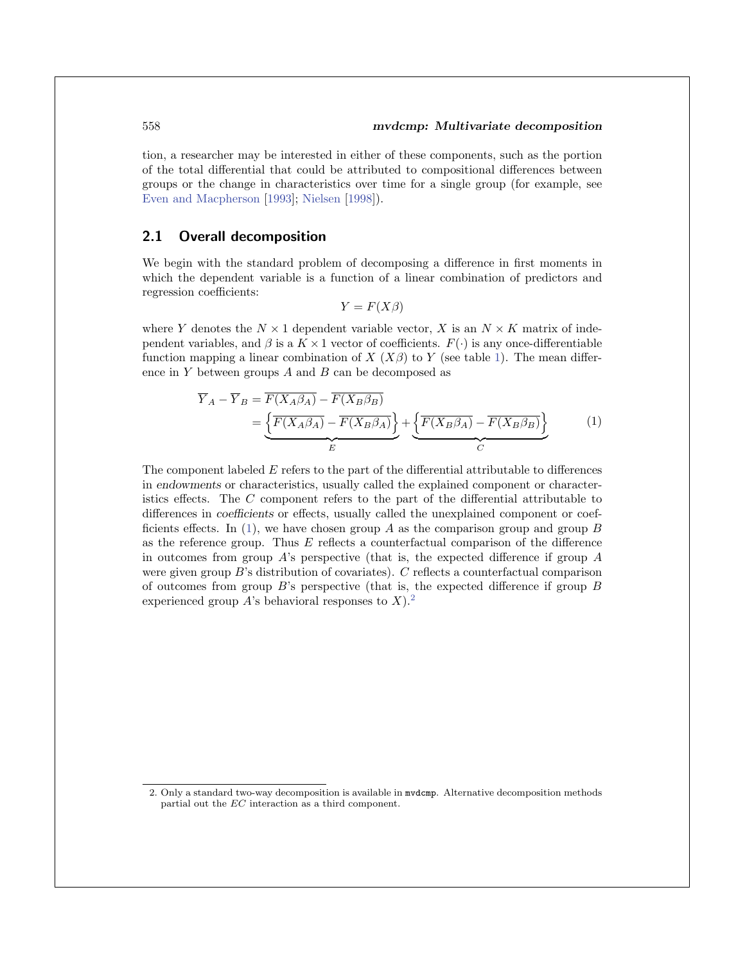tion, a researcher may be interested in either of these components, such as the portion of the total differential that could be attributed to compositional differences between groups or the change in characteristics over time for a single group (for example, see Even and Macpherson [1993]; Nielsen [1998]).

#### **2.1 Overall decomposition**

We begin with the standard problem of decomposing a difference in first moments in which the dependent variable is a function of a linear combination of predictors and regression coefficients:

$$
Y = F(X\beta)
$$

where Y denotes the  $N \times 1$  dependent variable vector, X is an  $N \times K$  matrix of independent variables, and  $\beta$  is a  $K \times 1$  vector of coefficients.  $F(\cdot)$  is any once-differentiable function mapping a linear combination of  $X(X\beta)$  to Y (see table 1). The mean difference in  $Y$  between groups  $A$  and  $B$  can be decomposed as

$$
\overline{Y}_A - \overline{Y}_B = \overline{F(X_A \beta_A)} - \overline{F(X_B \beta_B)}
$$
\n
$$
= \underbrace{\left\{\overline{F(X_A \beta_A)} - \overline{F(X_B \beta_A)}\right\}}_{E} + \underbrace{\left\{\overline{F(X_B \beta_A)} - \overline{F(X_B \beta_B)}\right\}}_{C}
$$
\n(1)

The component labeled  $E$  refers to the part of the differential attributable to differences in *endowments* or characteristics, usually called the explained component or characteristics effects. The C component refers to the part of the differential attributable to differences in *coefficients* or effects, usually called the unexplained component or coefficients effects. In (1), we have chosen group A as the comparison group and group B as the reference group. Thus  $E$  reflects a counterfactual comparison of the difference in outcomes from group  $A$ 's perspective (that is, the expected difference if group  $A$ were given group B's distribution of covariates). C reflects a counterfactual comparison of outcomes from group  $B$ 's perspective (that is, the expected difference if group  $B$ experienced group A's behavioral responses to  $X$ ).<sup>2</sup>

<sup>2.</sup> Only a standard two-way decomposition is available in mvdcmp. Alternative decomposition methods partial out the EC interaction as a third component.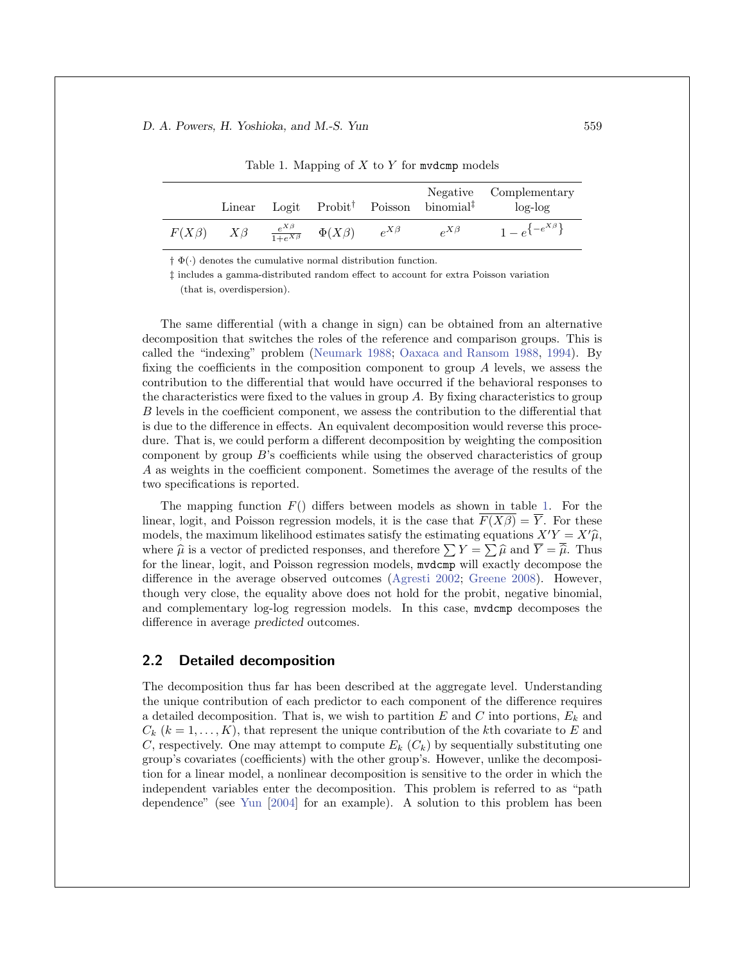|             | Linear   |                                                  |              | Negative<br>Logit Probit <sup>†</sup> Poisson binomial <sup>‡</sup> | Complementary<br>$log-log$ |
|-------------|----------|--------------------------------------------------|--------------|---------------------------------------------------------------------|----------------------------|
| $F(X\beta)$ | $X\beta$ | $\frac{e^{X\beta}}{1+e^{X\beta}}$ $\Phi(X\beta)$ | $e^{X\beta}$ | $\rho^{X\beta}$                                                     | $1 - e^{\{-e^{X\beta}\}}$  |

Table 1. Mapping of X to Y for mydcmp models

 $\dagger \Phi(\cdot)$  denotes the cumulative normal distribution function.

‡ includes a gamma-distributed random effect to account for extra Poisson variation (that is, overdispersion).

The same differential (with a change in sign) can be obtained from an alternative decomposition that switches the roles of the reference and comparison groups. This is called the "indexing" problem (Neumark 1988; Oaxaca and Ransom 1988, 1994). By fixing the coefficients in the composition component to group  $A$  levels, we assess the contribution to the differential that would have occurred if the behavioral responses to the characteristics were fixed to the values in group  $A$ . By fixing characteristics to group B levels in the coefficient component, we assess the contribution to the differential that is due to the difference in effects. An equivalent decomposition would reverse this procedure. That is, we could perform a different decomposition by weighting the composition component by group B's coefficients while using the observed characteristics of group A as weights in the coefficient component. Sometimes the average of the results of the two specifications is reported.

The mapping function  $F()$  differs between models as shown in table 1. For the linear, logit, and Poisson regression models, it is the case that  $F(X\beta) = \overline{Y}$ . For these models, the maximum likelihood estimates satisfy the estimating equations  $X'Y = X'\hat{\mu}$ , where  $\hat{\mu}$  is a vector of predicted responses, and therefore  $\sum Y = \sum \hat{\mu}$  and  $\overline{Y} = \overline{\hat{\mu}}$ . Thus for the linear, logit, and Poisson regression models, mvdcmp will exactly decompose the difference in the average observed outcomes (Agresti 2002; Greene 2008). However, though very close, the equality above does not hold for the probit, negative binomial, and complementary log-log regression models. In this case, mvdcmp decomposes the difference in average *predicted* outcomes.

#### **2.2 Detailed decomposition**

The decomposition thus far has been described at the aggregate level. Understanding the unique contribution of each predictor to each component of the difference requires a detailed decomposition. That is, we wish to partition E and C into portions,  $E_k$  and  $C_k$   $(k = 1, \ldots, K)$ , that represent the unique contribution of the kth covariate to E and C, respectively. One may attempt to compute  $E_k(C_k)$  by sequentially substituting one group's covariates (coefficients) with the other group's. However, unlike the decomposition for a linear model, a nonlinear decomposition is sensitive to the order in which the independent variables enter the decomposition. This problem is referred to as "path dependence" (see Yun [2004] for an example). A solution to this problem has been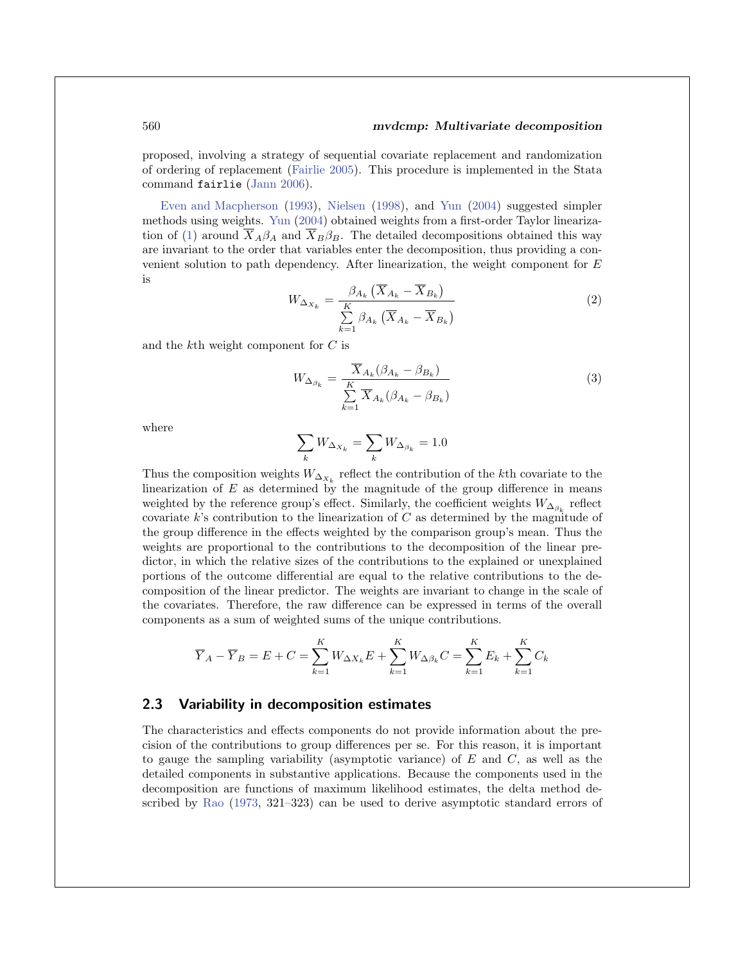proposed, involving a strategy of sequential covariate replacement and randomization of ordering of replacement (Fairlie 2005). This procedure is implemented in the Stata command fairlie (Jann 2006).

Even and Macpherson (1993), Nielsen (1998), and Yun (2004) suggested simpler methods using weights. Yun (2004) obtained weights from a first-order Taylor linearization of (1) around  $\overline{X}_A\beta_A$  and  $\overline{X}_B\beta_B$ . The detailed decompositions obtained this way are invariant to the order that variables enter the decomposition, thus providing a convenient solution to path dependency. After linearization, the weight component for E is

$$
W_{\Delta_{X_k}} = \frac{\beta_{A_k} \left( \overline{X}_{A_k} - \overline{X}_{B_k} \right)}{\sum\limits_{k=1}^K \beta_{A_k} \left( \overline{X}_{A_k} - \overline{X}_{B_k} \right)}
$$
(2)

and the kth weight component for C is

$$
W_{\Delta_{\beta_k}} = \frac{\overline{X}_{A_k}(\beta_{A_k} - \beta_{B_k})}{\sum\limits_{k=1}^K \overline{X}_{A_k}(\beta_{A_k} - \beta_{B_k})}
$$
(3)

where

$$
\sum_k W_{\Delta_{X_k}} = \sum_k W_{\Delta_{\beta_k}} = 1.0
$$

Thus the composition weights  $W_{\Delta_{X_k}}$  reflect the contribution of the kth covariate to the linearization of  $E$  as determined by the magnitude of the group difference in means weighted by the reference group's effect. Similarly, the coefficient weights  $W_{\Delta_{\beta_k}}$  reflect covariate k's contribution to the linearization of  $C$  as determined by the magnitude of the group difference in the effects weighted by the comparison group's mean. Thus the weights are proportional to the contributions to the decomposition of the linear predictor, in which the relative sizes of the contributions to the explained or unexplained portions of the outcome differential are equal to the relative contributions to the decomposition of the linear predictor. The weights are invariant to change in the scale of the covariates. Therefore, the raw difference can be expressed in terms of the overall components as a sum of weighted sums of the unique contributions.

$$
\overline{Y}_A - \overline{Y}_B = E + C = \sum_{k=1}^K W_{\Delta X_k} E + \sum_{k=1}^K W_{\Delta \beta_k} C = \sum_{k=1}^K E_k + \sum_{k=1}^K C_k
$$

#### **2.3 Variability in decomposition estimates**

The characteristics and effects components do not provide information about the precision of the contributions to group differences per se. For this reason, it is important to gauge the sampling variability (asymptotic variance) of  $E$  and  $C$ , as well as the detailed components in substantive applications. Because the components used in the decomposition are functions of maximum likelihood estimates, the delta method described by Rao (1973, 321–323) can be used to derive asymptotic standard errors of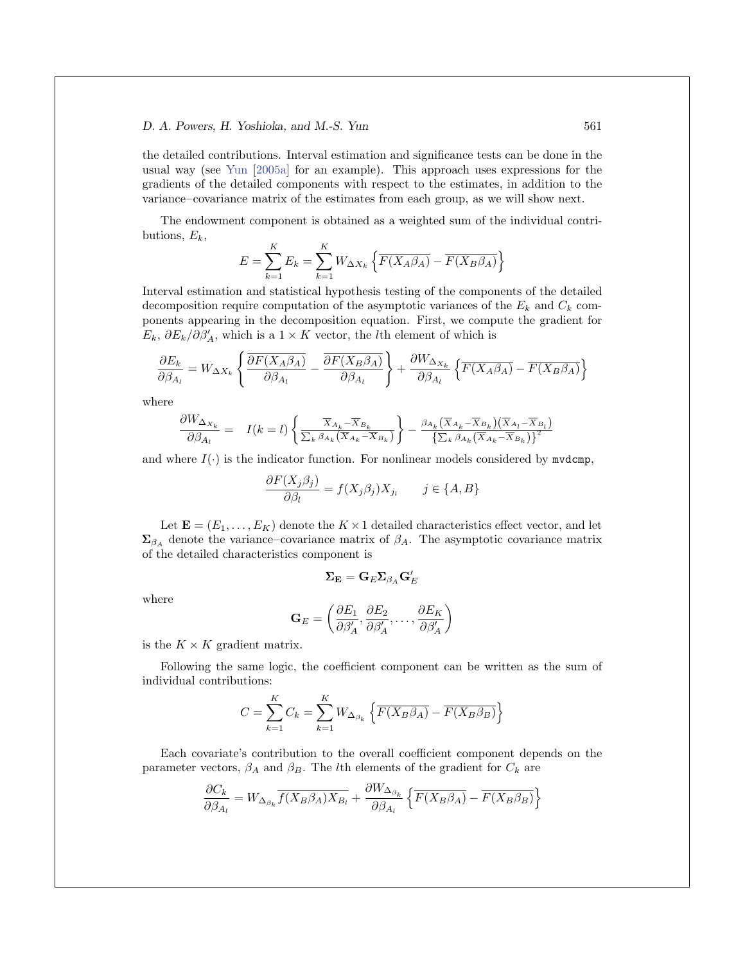the detailed contributions. Interval estimation and significance tests can be done in the usual way (see Yun [2005a] for an example). This approach uses expressions for the gradients of the detailed components with respect to the estimates, in addition to the variance–covariance matrix of the estimates from each group, as we will show next.

The endowment component is obtained as a weighted sum of the individual contributions,  $E_k$ ,

$$
E = \sum_{k=1}^{K} E_k = \sum_{k=1}^{K} W_{\Delta X_k} \left\{ \overline{F(X_A \beta_A)} - \overline{F(X_B \beta_A)} \right\}
$$

Interval estimation and statistical hypothesis testing of the components of the detailed decomposition require computation of the asymptotic variances of the  $E_k$  and  $C_k$  components appearing in the decomposition equation. First, we compute the gradient for  $E_k$ ,  $\partial E_k/\partial \beta'_A$ , which is a 1 × K vector, the *l*th element of which is

$$
\frac{\partial E_k}{\partial{\beta_{A_l}}} = W_{\Delta X_k}\left\{\frac{\overline{\partial F(X_A\beta_A)}}{\partial{\beta_{A_l}}}-\frac{\overline{\partial F(X_B\beta_A)}}{\partial{\beta_{A_l}}}\right\} + \frac{\partial W_{\Delta_{X_k}}}{\partial{\beta_{A_l}}}\left\{\overline{F(X_A\beta_A)}-\overline{F(X_B\beta_A)}\right\}
$$

where

$$
\frac{\partial W_{\Delta_{X_k}}}{\partial \beta_{A_l}} = I(k=l) \left\{ \frac{\overline{X}_{A_k} - \overline{X}_{B_k}}{\sum_k \beta_{A_k} (\overline{X}_{A_k} - \overline{X}_{B_k})} \right\} - \frac{\beta_{A_k} (\overline{X}_{A_k} - \overline{X}_{B_k}) (\overline{X}_{A_l} - \overline{X}_{B_l})}{\sum_k \beta_{A_k} (\overline{X}_{A_k} - \overline{X}_{B_k})^2}
$$

and where  $I(\cdot)$  is the indicator function. For nonlinear models considered by mydcmp,

$$
\frac{\partial F(X_j \beta_j)}{\partial \beta_l} = f(X_j \beta_j) X_{j_l} \qquad j \in \{A, B\}
$$

Let  $\mathbf{E} = (E_1, \ldots, E_K)$  denote the  $K \times 1$  detailed characteristics effect vector, and let  $\Sigma_{\beta_A}$  denote the variance–covariance matrix of  $\beta_A$ . The asymptotic covariance matrix of the detailed characteristics component is

$$
\mathbf{\Sigma}_\mathbf{E} = \mathbf{G}_E \mathbf{\Sigma}_{\beta_A} \mathbf{G}_E'
$$

where

$$
\mathbf{G}_E = \left(\frac{\partial E_1}{\partial \beta_A'}, \frac{\partial E_2}{\partial \beta_A'}, \dots, \frac{\partial E_K}{\partial \beta_A'}\right)
$$

is the  $K \times K$  gradient matrix.

Following the same logic, the coefficient component can be written as the sum of individual contributions:

$$
C = \sum_{k=1}^{K} C_k = \sum_{k=1}^{K} W_{\Delta_{\beta_k}} \left\{ \overline{F(X_B \beta_A)} - \overline{F(X_B \beta_B)} \right\}
$$

Each covariate's contribution to the overall coefficient component depends on the parameter vectors,  $\beta_A$  and  $\beta_B$ . The *l*th elements of the gradient for  $C_k$  are

$$
\frac{\partial C_k}{\partial \beta_{A_l}} = W_{\Delta_{\beta_k}} \overline{f(X_B \beta_A) X_{B_l}} + \frac{\partial W_{\Delta_{\beta_k}}}{\partial \beta_{A_l}} \left\{ \overline{F(X_B \beta_A)} - \overline{F(X_B \beta_B)} \right\}
$$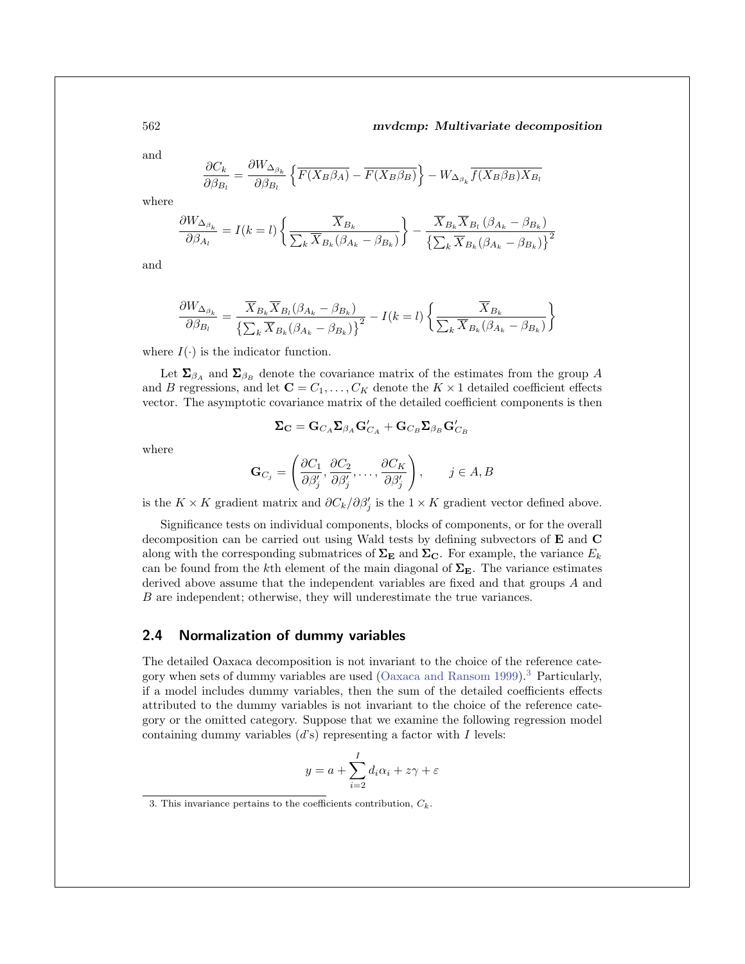and

$$
\frac{\partial C_k}{\partial \beta_{B_l}} = \frac{\partial W_{\Delta_{\beta_k}}}{\partial \beta_{B_l}} \left\{ \overline{F(X_B \beta_A)} - \overline{F(X_B \beta_B)} \right\} - W_{\Delta_{\beta_k}} \overline{f(X_B \beta_B) X_{B_l}}
$$

where

$$
\frac{\partial W_{\Delta_{\beta_k}}}{\partial \beta_{A_l}} = I(k=l) \left\{ \frac{\overline{X}_{B_k}}{\sum_k \overline{X}_{B_k} (\beta_{A_k} - \beta_{B_k})} \right\} - \frac{\overline{X}_{B_k} \overline{X}_{B_l} (\beta_{A_k} - \beta_{B_k})}{\left\{ \sum_k \overline{X}_{B_k} (\beta_{A_k} - \beta_{B_k}) \right\}^2}
$$

and

$$
\frac{\partial W_{\Delta_{\beta_k}}}{\partial \beta_{B_l}} = \frac{\overline{X}_{B_k} \overline{X}_{B_l} (\beta_{A_k} - \beta_{B_k})}{\left\{ \sum_k \overline{X}_{B_k} (\beta_{A_k} - \beta_{B_k}) \right\}^2} - I(k = l) \left\{ \frac{\overline{X}_{B_k}}{\sum_k \overline{X}_{B_k} (\beta_{A_k} - \beta_{B_k})} \right\}
$$

where  $I(\cdot)$  is the indicator function.

Let  $\Sigma_{\beta_A}$  and  $\Sigma_{\beta_B}$  denote the covariance matrix of the estimates from the group A and B regressions, and let  $\mathbf{C} = C_1, \ldots, C_K$  denote the  $K \times 1$  detailed coefficient effects vector. The asymptotic covariance matrix of the detailed coefficient components is then

$$
\mathbf{\Sigma_C} = \mathbf{G}_{C_A} \mathbf{\Sigma}_{\beta_A} \mathbf{G}_{C_A}^{\prime} + \mathbf{G}_{C_B} \mathbf{\Sigma}_{\beta_B} \mathbf{G}_{C_B}^{\prime}
$$

where

$$
\mathbf{G}_{C_j} = \left( \frac{\partial C_1}{\partial \beta'_j}, \frac{\partial C_2}{\partial \beta'_j}, \dots, \frac{\partial C_K}{\partial \beta'_j} \right), \qquad j \in A, B
$$

is the  $K \times K$  gradient matrix and  $\partial C_k / \partial \beta'_j$  is the  $1 \times K$  gradient vector defined above.

Significance tests on individual components, blocks of components, or for the overall decomposition can be carried out using Wald tests by defining subvectors of **E** and **C** along with the corresponding submatrices of  $\Sigma$ **E** and  $\Sigma$ **C**. For example, the variance  $E_k$ can be found from the k<sup>th</sup> element of the main diagonal of  $\Sigma_{\rm E}$ . The variance estimates derived above assume that the independent variables are fixed and that groups A and B are independent; otherwise, they will underestimate the true variances.

#### **2.4 Normalization of dummy variables**

The detailed Oaxaca decomposition is not invariant to the choice of the reference category when sets of dummy variables are used (Oaxaca and Ransom 1999).<sup>3</sup> Particularly, if a model includes dummy variables, then the sum of the detailed coefficients effects attributed to the dummy variables is not invariant to the choice of the reference category or the omitted category. Suppose that we examine the following regression model containing dummy variables  $(d's)$  representing a factor with I levels:

$$
y = a + \sum_{i=2}^{I} d_i \alpha_i + z\gamma + \varepsilon
$$

<sup>3.</sup> This invariance pertains to the coefficients contribution,  $C_k$ .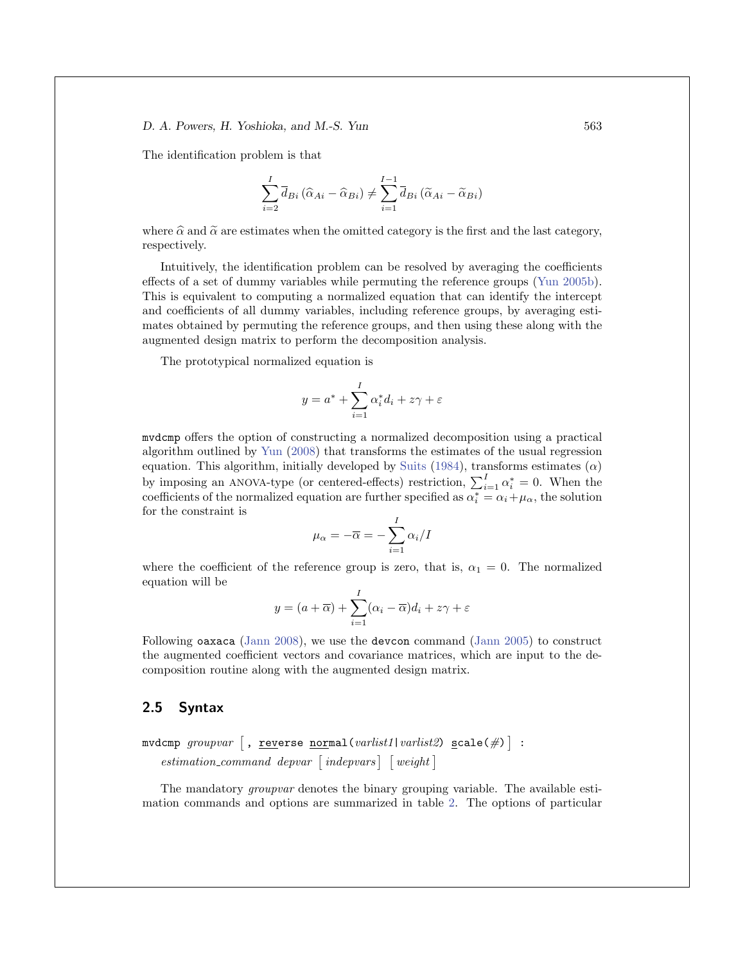The identification problem is that

$$
\sum_{i=2}^{I} \overline{d}_{Bi} (\widehat{\alpha}_{Ai} - \widehat{\alpha}_{Bi}) \neq \sum_{i=1}^{I-1} \overline{d}_{Bi} (\widetilde{\alpha}_{Ai} - \widetilde{\alpha}_{Bi})
$$

where  $\hat{\alpha}$  and  $\tilde{\alpha}$  are estimates when the omitted category is the first and the last category, respectively.

Intuitively, the identification problem can be resolved by averaging the coefficients effects of a set of dummy variables while permuting the reference groups (Yun 2005b). This is equivalent to computing a normalized equation that can identify the intercept and coefficients of all dummy variables, including reference groups, by averaging estimates obtained by permuting the reference groups, and then using these along with the augmented design matrix to perform the decomposition analysis.

The prototypical normalized equation is

$$
y = a^* + \sum_{i=1}^{I} \alpha_i^* d_i + z\gamma + \varepsilon
$$

mvdcmp offers the option of constructing a normalized decomposition using a practical algorithm outlined by Yun (2008) that transforms the estimates of the usual regression equation. This algorithm, initially developed by Suits (1984), transforms estimates  $(\alpha)$ by imposing an ANOVA-type (or centered-effects) restriction,  $\sum_{i=1}^{I} \alpha_i^* = 0$ . When the coefficients of the normalized equation are further specified as  $\alpha_i^* = \alpha_i + \mu_\alpha$ , the solution for the constraint is

$$
\mu_{\alpha} = -\overline{\alpha} = -\sum_{i=1}^{I} \alpha_i / I
$$

where the coefficient of the reference group is zero, that is,  $\alpha_1 = 0$ . The normalized equation will be

$$
y = (a + \overline{\alpha}) + \sum_{i=1}^{I} (\alpha_i - \overline{\alpha})d_i + z\gamma + \varepsilon
$$

Following oaxaca (Jann 2008), we use the devcon command (Jann 2005) to construct the augmented coefficient vectors and covariance matrices, which are input to the decomposition routine along with the augmented design matrix.

#### **2.5 Syntax**

$$
\texttt{mvdcmp} \textit{groupvar} [\texttt{, reverse normal}(\textit{varlist1}|\textit{varlist2}) \texttt{scale}(\#) ] : \textit{estimation\_command} \textit{depend}(\textit{approx})
$$

The mandatory *groupvar* denotes the binary grouping variable. The available estimation commands and options are summarized in table 2. The options of particular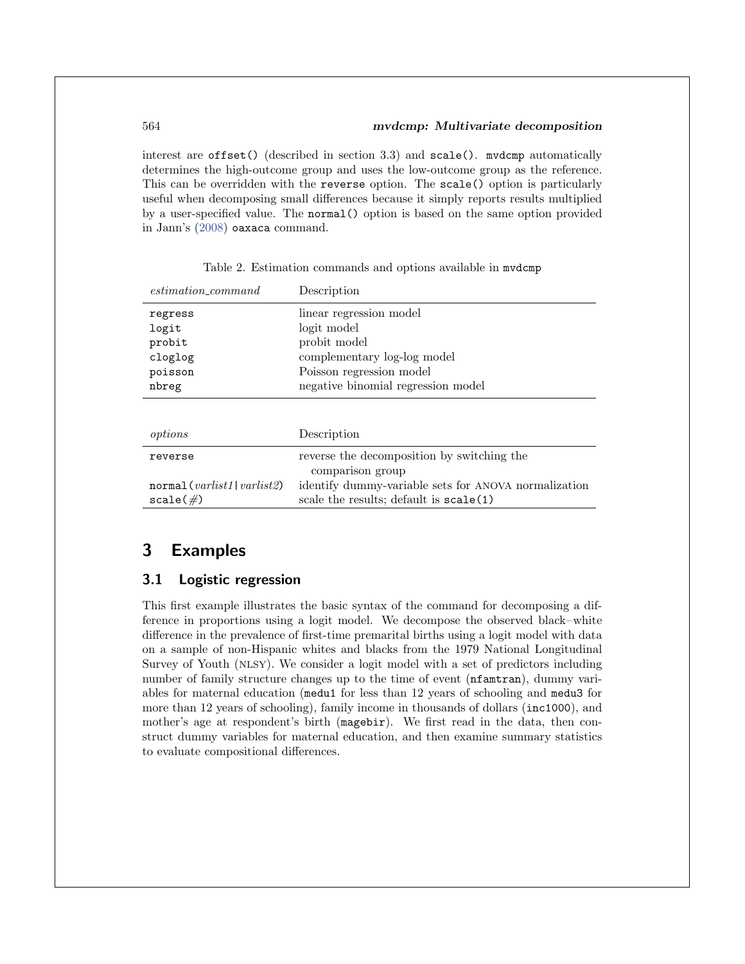interest are offset() (described in section 3.3) and scale(). mvdcmp automatically determines the high-outcome group and uses the low-outcome group as the reference. This can be overridden with the reverse option. The scale() option is particularly useful when decomposing small differences because it simply reports results multiplied by a user-specified value. The normal() option is based on the same option provided in Jann's (2008) oaxaca command.

| $estimation\_command$                    | Description                                                                                     |
|------------------------------------------|-------------------------------------------------------------------------------------------------|
| regress                                  | linear regression model                                                                         |
| logit                                    | logit model                                                                                     |
| probit                                   | probit model                                                                                    |
| cloglog                                  | complementary log-log model                                                                     |
| poisson                                  | Poisson regression model                                                                        |
| nbreg                                    | negative binomial regression model                                                              |
|                                          |                                                                                                 |
| options                                  | Description                                                                                     |
| reverse                                  | reverse the decomposition by switching the<br>comparison group                                  |
| normal(varlist1 varlist2)<br>$scale(\#)$ | identify dummy-variable sets for ANOVA normalization<br>scale the results; default is scale (1) |

Table 2. Estimation commands and options available in mvdcmp

## **3 Examples**

#### **3.1 Logistic regression**

This first example illustrates the basic syntax of the command for decomposing a difference in proportions using a logit model. We decompose the observed black–white difference in the prevalence of first-time premarital births using a logit model with data on a sample of non-Hispanic whites and blacks from the 1979 National Longitudinal Survey of Youth (NLSY). We consider a logit model with a set of predictors including number of family structure changes up to the time of event (nfamtran), dummy variables for maternal education (medu1 for less than 12 years of schooling and medu3 for more than 12 years of schooling), family income in thousands of dollars (inc1000), and mother's age at respondent's birth (magebir). We first read in the data, then construct dummy variables for maternal education, and then examine summary statistics to evaluate compositional differences.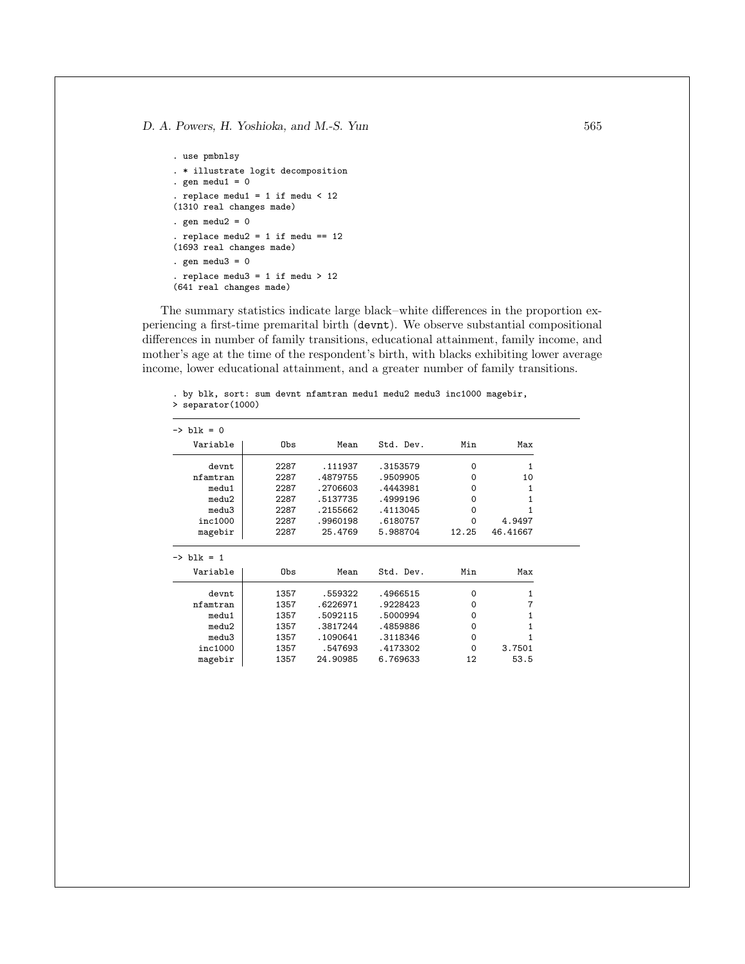```
. use pmbnlsy
. * illustrate logit decomposition
. gen medu1 = 0. replace medu1 = 1 if medu < 12(1310 real changes made)
. gen medu2 = 0. replace medu2 = 1 if medu == 12(1693 real changes made)
. gen medu3 = 0. replace medu3 = 1 if medu > 12
(641 real changes made)
```
The summary statistics indicate large black–white differences in the proportion experiencing a first-time premarital birth (devnt). We observe substantial compositional differences in number of family transitions, educational attainment, family income, and mother's age at the time of the respondent's birth, with blacks exhibiting lower average income, lower educational attainment, and a greater number of family transitions.

. by blk, sort: sum devnt nfamtran medu1 medu2 medu3 inc1000 magebir, > separator(1000)

| Min<br>Variable<br>Obs<br>Std. Dev.<br>Mean<br>2287<br>.111937<br>.3153579<br>$\Omega$<br>devnt<br>.4879755<br>2287<br>.9509905<br>nfamtran<br>0<br>.2706603<br>.4443981<br>medu1<br>2287<br>0<br>.5137735<br>.4999196<br>medu2<br>2287<br>0<br>.2155662<br>.4113045<br>medu3<br>2287<br>0<br>inc1000<br>.9960198<br>.6180757<br>2287<br>0<br>2287<br>25.4769<br>5.988704<br>magebir<br>12.25<br>Variable<br>Obs<br>Std. Dev.<br>Min<br>Mean<br>1357<br>.4966515<br>$\Omega$<br>devnt<br>.559322<br>1357<br>.6226971<br>.9228423<br>nfamtran<br>$\Omega$<br>1357<br>.5092115<br>.5000994<br>medu1<br>0<br>.3817244<br>1357<br>.4859886<br>0<br>medu2<br>.1090641<br>.3118346<br>medu3<br>1357<br>0<br>inc1000<br>.4173302<br>1357<br>.547693<br>0 |                       |      |          |          |    |              |
|---------------------------------------------------------------------------------------------------------------------------------------------------------------------------------------------------------------------------------------------------------------------------------------------------------------------------------------------------------------------------------------------------------------------------------------------------------------------------------------------------------------------------------------------------------------------------------------------------------------------------------------------------------------------------------------------------------------------------------------------------|-----------------------|------|----------|----------|----|--------------|
|                                                                                                                                                                                                                                                                                                                                                                                                                                                                                                                                                                                                                                                                                                                                                   | $\rightarrow$ blk = 0 |      |          |          |    |              |
|                                                                                                                                                                                                                                                                                                                                                                                                                                                                                                                                                                                                                                                                                                                                                   |                       |      |          |          |    | Max          |
|                                                                                                                                                                                                                                                                                                                                                                                                                                                                                                                                                                                                                                                                                                                                                   |                       |      |          |          |    | 1            |
|                                                                                                                                                                                                                                                                                                                                                                                                                                                                                                                                                                                                                                                                                                                                                   |                       |      |          |          |    | 10           |
|                                                                                                                                                                                                                                                                                                                                                                                                                                                                                                                                                                                                                                                                                                                                                   |                       |      |          |          |    | 1            |
|                                                                                                                                                                                                                                                                                                                                                                                                                                                                                                                                                                                                                                                                                                                                                   |                       |      |          |          |    | 1            |
|                                                                                                                                                                                                                                                                                                                                                                                                                                                                                                                                                                                                                                                                                                                                                   |                       |      |          |          |    | 1            |
|                                                                                                                                                                                                                                                                                                                                                                                                                                                                                                                                                                                                                                                                                                                                                   |                       |      |          |          |    | 4.9497       |
|                                                                                                                                                                                                                                                                                                                                                                                                                                                                                                                                                                                                                                                                                                                                                   |                       |      |          |          |    | 46.41667     |
|                                                                                                                                                                                                                                                                                                                                                                                                                                                                                                                                                                                                                                                                                                                                                   | $\rightarrow$ blk = 1 |      |          |          |    | Max          |
|                                                                                                                                                                                                                                                                                                                                                                                                                                                                                                                                                                                                                                                                                                                                                   |                       |      |          |          |    | 1            |
|                                                                                                                                                                                                                                                                                                                                                                                                                                                                                                                                                                                                                                                                                                                                                   |                       |      |          |          |    | 7            |
|                                                                                                                                                                                                                                                                                                                                                                                                                                                                                                                                                                                                                                                                                                                                                   |                       |      |          |          |    | 1            |
|                                                                                                                                                                                                                                                                                                                                                                                                                                                                                                                                                                                                                                                                                                                                                   |                       |      |          |          |    | $\mathbf{1}$ |
|                                                                                                                                                                                                                                                                                                                                                                                                                                                                                                                                                                                                                                                                                                                                                   |                       |      |          |          |    | 1            |
|                                                                                                                                                                                                                                                                                                                                                                                                                                                                                                                                                                                                                                                                                                                                                   |                       |      |          |          |    | 3.7501       |
|                                                                                                                                                                                                                                                                                                                                                                                                                                                                                                                                                                                                                                                                                                                                                   | magebir               | 1357 | 24.90985 | 6.769633 | 12 | 53.5         |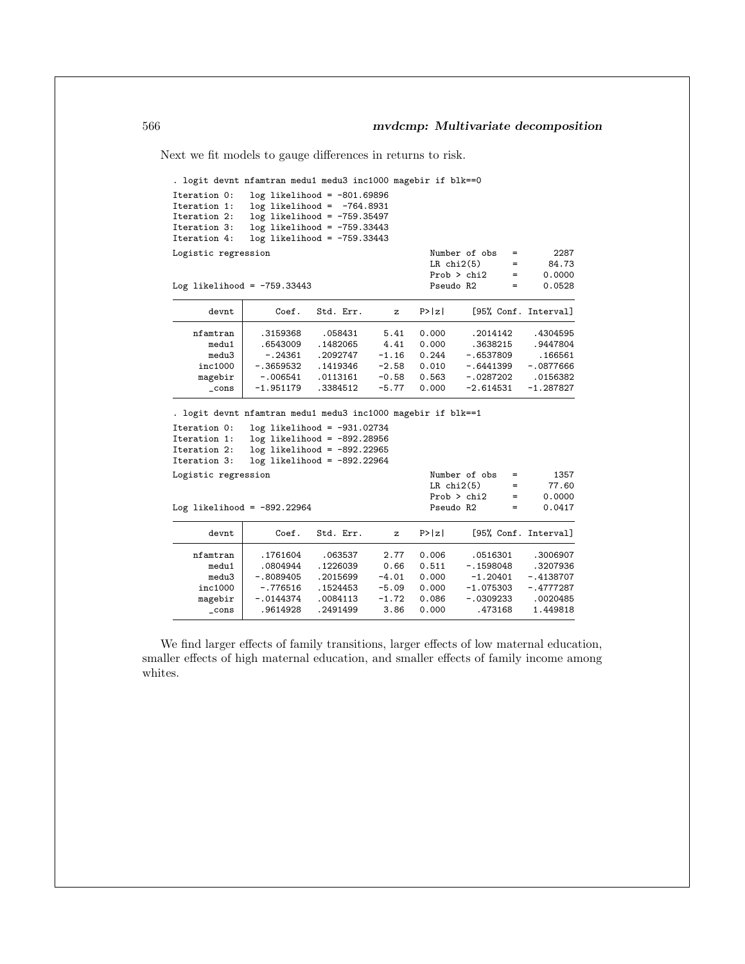Next we fit models to gauge differences in returns to risk.

. logit devnt nfamtran medu1 medu3 inc1000 magebir if blk==0

| Iteration 0:                                                   |             | $log$ likelihood = $-801.69896$ |         |                 |                      |             |
|----------------------------------------------------------------|-------------|---------------------------------|---------|-----------------|----------------------|-------------|
| Iteration 1:                                                   |             | $log$ likelihood = $-764.8931$  |         |                 |                      |             |
| Iteration 2:                                                   |             | $log$ likelihood = $-759.35497$ |         |                 |                      |             |
| Iteration 3:                                                   |             | $log$ likelihood = $-759.33443$ |         |                 |                      |             |
| Iteration 4:                                                   |             | $log$ likelihood = $-759.33443$ |         |                 |                      |             |
| Logistic regression                                            |             |                                 |         |                 | Number of obs<br>$=$ | 2287        |
|                                                                |             |                                 |         | $LR$ chi $2(5)$ | $=$                  | 84.73       |
|                                                                |             |                                 |         | Prob > chi2     | $=$                  | 0.0000      |
| Log likelihood = $-759.33443$                                  |             |                                 |         | Pseudo R2       | $=$                  | 0.0528      |
| devnt                                                          | Coef.       | Std. Err.                       | z       | P >  z          | [95% Conf. Interval] |             |
| nfamtran                                                       | .3159368    | .058431                         | 5.41    | 0.000           | .2014142             | .4304595    |
| medu1                                                          | .6543009    | .1482065                        | 4.41    | 0.000           | .3638215             | .9447804    |
| medu3                                                          | $-.24361$   | .2092747                        | $-1.16$ | 0.244           | $-.6537809$          | .166561     |
| inc1000                                                        | $-.3659532$ | .1419346                        | $-2.58$ | 0.010           | -.6441399            | $-.0877666$ |
| magebir                                                        | $-.006541$  | .0113161                        | $-0.58$ | 0.563           | $-.0287202$          | .0156382    |
| $\_cons$                                                       | $-1.951179$ | .3384512                        | $-5.77$ | 0.000           | $-2.614531$          | $-1.287827$ |
| . logit devnt nfamtran medu1 medu3 inc1000 magebir if blk == 1 |             |                                 |         |                 |                      |             |
| Iteration 0:                                                   |             | $log$ likelihood = -931.02734   |         |                 |                      |             |
| Iteration 1:                                                   |             | $log$ likelihood = -892.28956   |         |                 |                      |             |
| Iteration 2:                                                   |             | $log$ likelihood = -892.22965   |         |                 |                      |             |
| Iteration 3:                                                   |             | $log$ likelihood = -892.22964   |         |                 |                      |             |
| Logistic regression                                            |             |                                 |         |                 | Number of obs<br>$=$ | 1357        |
|                                                                |             |                                 |         | $LR$ chi $2(5)$ | $=$                  | 77.60       |
|                                                                |             |                                 |         | Prob > chi2     | $=$                  | 0.0000      |
| Log likelihood = $-892.22964$                                  |             |                                 |         | Pseudo R2       | $=$                  | 0.0417      |
| devnt                                                          | Coef.       | Std. Err.                       | z       | P >  z          | [95% Conf. Interval] |             |
| nfamtran                                                       | .1761604    | .063537                         | 2.77    | 0.006           | .0516301             | .3006907    |
| medu1                                                          | .0804944    | .1226039                        | 0.66    | 0.511           | $-.1598048$          | .3207936    |
| medu3                                                          | $-.8089405$ | .2015699                        | $-4.01$ | 0.000           | $-1.20401$           | $-.4138707$ |
| inc1000                                                        | $-.776516$  | .1524453                        | $-5.09$ | 0.000           | $-1.075303$          | $-.4777287$ |
| magebir                                                        | $-.0144374$ | .0084113                        | $-1.72$ | 0.086           | -.0309233            | .0020485    |
| $_{\text{-cons}}$                                              | .9614928    | .2491499                        | 3.86    | 0.000           | .473168              | 1.449818    |

We find larger effects of family transitions, larger effects of low maternal education, smaller effects of high maternal education, and smaller effects of family income among whites.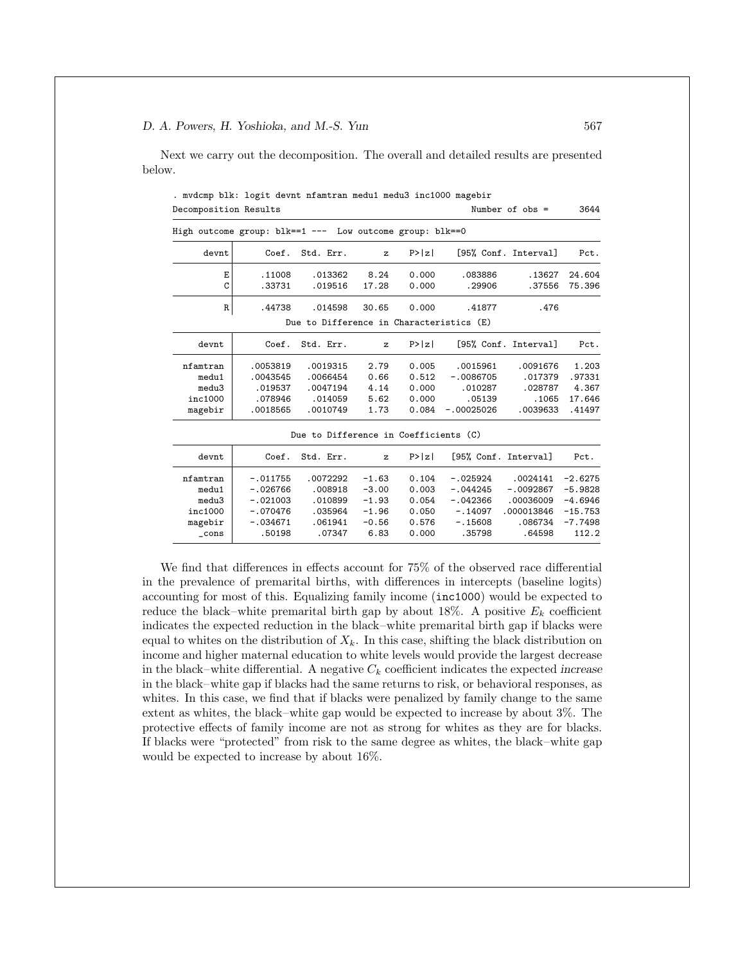Next we carry out the decomposition. The overall and detailed results are presented below.

. mvdcmp blk: logit devnt nfamtran medu1 medu3 inc1000 magebir Decomposition Results Number of obs = 3644

|                | High outcome group: $blk == 1 ---$ Low outcome group: $blk == 0$ |                                          |              |        |                      |                      |           |
|----------------|------------------------------------------------------------------|------------------------------------------|--------------|--------|----------------------|----------------------|-----------|
| devnt          | Coef.                                                            | Std. Err.                                | $\mathbf{z}$ | P >  z |                      | [95% Conf. Interval] | Pct.      |
| E              | .11008                                                           | .013362                                  | 8.24         | 0.000  | .083886              | .13627               | 24.604    |
| C              | .33731                                                           | .019516                                  | 17.28        | 0.000  | .29906               | .37556               | 75.396    |
| R              | .44738                                                           | .014598                                  | 30.65        | 0.000  | .41877               | .476                 |           |
|                |                                                                  | Due to Difference in Characteristics (E) |              |        |                      |                      |           |
| devnt          | Coef.                                                            | Std. Err.                                | $\mathbf{z}$ | P >  z |                      | [95% Conf. Interval] | Pct.      |
| nfamtran       | .0053819                                                         | .0019315                                 | 2.79         | 0.005  | .0015961             | .0091676             | 1.203     |
| medu1          | .0043545                                                         | .0066454                                 | 0.66         | 0.512  | $-.0086705$          | .017379              | .97331    |
| medu3          | .019537                                                          | .0047194                                 | 4.14         | 0.000  | .010287              | .028787              | 4.367     |
| inc1000        | .078946                                                          | .014059                                  | 5.62         | 0.000  | .05139               | .1065                | 17.646    |
| magebir        | .0018565                                                         | .0010749                                 | 1.73         | 0.084  | $-.00025026$         | .0039633             | .41497    |
|                |                                                                  | Due to Difference in Coefficients (C)    |              |        |                      |                      |           |
| devnt          | Coef.                                                            | Std. Err.                                | $\mathbf{z}$ | P >  z | [95% Conf. Interval] |                      | Pct.      |
| nfamtran       | $-.011755$                                                       | .0072292                                 | $-1.63$      | 0.104  | $-.025924$           | .0024141             | $-2.6275$ |
| medu1          | $-.026766$                                                       | .008918                                  | $-3.00$      | 0.003  | $-.044245$           | $-.0092867$          | $-5.9828$ |
| medu3          | $-.021003$                                                       | .010899                                  | $-1.93$      | 0.054  | $-.042366$           | .00036009            | $-4.6946$ |
| inc1000        | $-.070476$                                                       | .035964                                  | $-1.96$      | 0.050  | $-.14097$            | .000013846           | $-15.753$ |
| magebir        | $-.034671$                                                       | .061941                                  | $-0.56$      | 0.576  | $-.15608$            | .086734              | $-7.7498$ |
| $_{\rm -cons}$ | .50198                                                           | .07347                                   | 6.83         | 0.000  | .35798               | .64598               | 112.2     |

We find that differences in effects account for 75% of the observed race differential in the prevalence of premarital births, with differences in intercepts (baseline logits) accounting for most of this. Equalizing family income (inc1000) would be expected to reduce the black–white premarital birth gap by about 18%. A positive  $E_k$  coefficient indicates the expected reduction in the black–white premarital birth gap if blacks were equal to whites on the distribution of  $X_k$ . In this case, shifting the black distribution on income and higher maternal education to white levels would provide the largest decrease in the black–white differential. A negative  $C_k$  coefficient indicates the expected *increase* in the black–white gap if blacks had the same returns to risk, or behavioral responses, as whites. In this case, we find that if blacks were penalized by family change to the same extent as whites, the black–white gap would be expected to increase by about 3%. The protective effects of family income are not as strong for whites as they are for blacks. If blacks were "protected" from risk to the same degree as whites, the black–white gap would be expected to increase by about 16%.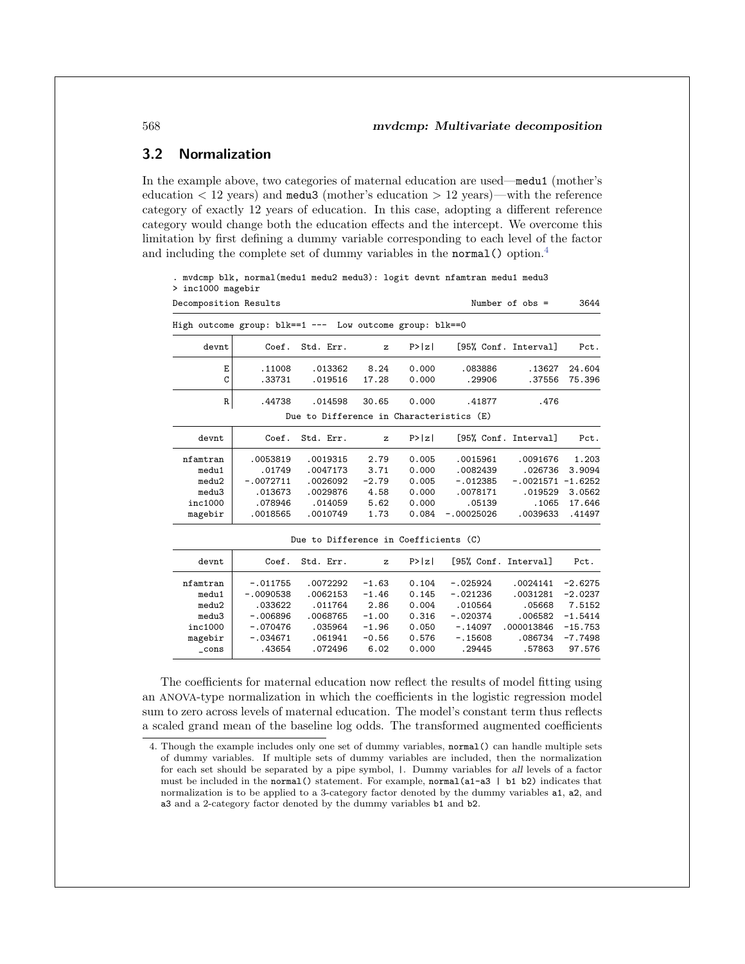## **3.2 Normalization**

In the example above, two categories of maternal education are used—medu1 (mother's education  $\langle 12 \text{ years} \rangle$  and medu<sub>3</sub> (mother's education  $> 12 \text{ years}$ )—with the reference category of exactly 12 years of education. In this case, adopting a different reference category would change both the education effects and the intercept. We overcome this limitation by first defining a dummy variable corresponding to each level of the factor and including the complete set of dummy variables in the normal () option.<sup>4</sup>

. mvdcmp blk, normal(medu1 medu2 medu3): logit devnt nfamtran medu1 medu3 > inc1000 magebir Decomposition Results Number of obs = 3644 High outcome group: blk==1 --- Low outcome group: blk==0 devnt Coef. Std. Err. z P>|z| [95% Conf. Interval] Pct. E .11008 .013362 8.24 0.000 .083886 .13627 24.604 C .33731 .019516 17.28 0.000 .29906 .37556 75.396 R .44738 .014598 30.65 0.000 .41877 .476 Due to Difference in Characteristics (E) devnt | Coef. Std. Err. z P>|z| [95% Conf. Interval] Pct. nfamtran .0053819 .0019315 2.79 0.005 .0015961 .0091676 1.203 medu1 .01749 .0047173 3.71 0.000 .0082439 .026736 3.9094 medu2 -.0072711 .0026092 -2.79 0.005 -.012385 -.0021571 -1.6252 medu3 .013673 .0029876 4.58 0.000 .0078171 .019529 3.0562 inc1000 .078946 .014059 5.62 0.000 .05139 .1065 17.646 magebir .0018565 .0010749 1.73 0.084 -.00025026 .0039633 .41497 Due to Difference in Coefficients (C) devnt Coef. Std. Err. z P>|z| [95% Conf. Interval] Pct.

| devnt    | Coef.       | Std. Err. | $\mathbf{z}$ | P>  z |            | [95% Conf. Interval] | Pct.      |
|----------|-------------|-----------|--------------|-------|------------|----------------------|-----------|
| nfamtran | $-.011755$  | .0072292  | $-1.63$      | 0.104 | $-.025924$ | .0024141             | $-2.6275$ |
| medu1    | $-.0090538$ | .0062153  | $-1.46$      | 0.145 | $-.021236$ | .0031281             | $-2.0237$ |
| medu2    | .033622     | .011764   | 2.86         | 0.004 | .010564    | .05668               | 7.5152    |
| medu3    | $-.006896$  | .0068765  | $-1.00$      | 0.316 | $-.020374$ | .006582              | $-1.5414$ |
| inc1000  | $-.070476$  | .035964   | $-1.96$      | 0.050 | $-.14097$  | .000013846           | $-15.753$ |
| magebir  | $-.034671$  | .061941   | $-0.56$      | 0.576 | $-.15608$  | .086734              | $-7.7498$ |
| cons     | .43654      | .072496   | 6.02         | 0.000 | .29445     | .57863               | 97.576    |

The coefficients for maternal education now reflect the results of model fitting using an ANOVA-type normalization in which the coefficients in the logistic regression model sum to zero across levels of maternal education. The model's constant term thus reflects a scaled grand mean of the baseline log odds. The transformed augmented coefficients

<sup>4.</sup> Though the example includes only one set of dummy variables, normal() can handle multiple sets of dummy variables. If multiple sets of dummy variables are included, then the normalization for each set should be separated by a pipe symbol, |. Dummy variables for *all* levels of a factor must be included in the normal() statement. For example, normal(a1-a3 | b1 b2) indicates that normalization is to be applied to a 3-category factor denoted by the dummy variables a1, a2, and a3 and a 2-category factor denoted by the dummy variables b1 and b2.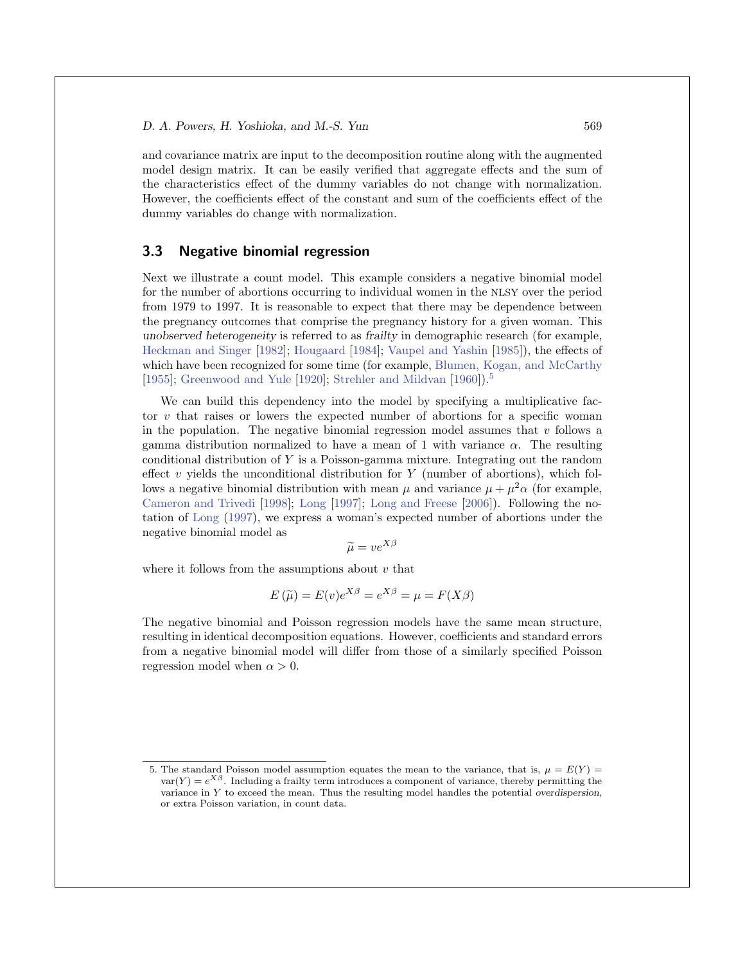and covariance matrix are input to the decomposition routine along with the augmented model design matrix. It can be easily verified that aggregate effects and the sum of the characteristics effect of the dummy variables do not change with normalization. However, the coefficients effect of the constant and sum of the coefficients effect of the dummy variables do change with normalization.

#### **3.3 Negative binomial regression**

Next we illustrate a count model. This example considers a negative binomial model for the number of abortions occurring to individual women in the NLSY over the period from 1979 to 1997. It is reasonable to expect that there may be dependence between the pregnancy outcomes that comprise the pregnancy history for a given woman. This *unobserved heterogeneity* is referred to as *frailty* in demographic research (for example, Heckman and Singer [1982]; Hougaard [1984]; Vaupel and Yashin [1985]), the effects of which have been recognized for some time (for example, Blumen, Kogan, and McCarthy [1955]; Greenwood and Yule [1920]; Strehler and Mildvan [1960]).<sup>5</sup>

We can build this dependency into the model by specifying a multiplicative factor v that raises or lowers the expected number of abortions for a specific woman in the population. The negative binomial regression model assumes that  $v$  follows a gamma distribution normalized to have a mean of 1 with variance  $\alpha$ . The resulting conditional distribution of Y is a Poisson-gamma mixture. Integrating out the random effect v yields the unconditional distribution for Y (number of abortions), which follows a negative binomial distribution with mean  $\mu$  and variance  $\mu + \mu^2 \alpha$  (for example, Cameron and Trivedi [1998]; Long [1997]; Long and Freese [2006]). Following the notation of Long (1997), we express a woman's expected number of abortions under the negative binomial model as

$$
\widetilde{\mu} = v e^{X\beta}
$$

where it follows from the assumptions about  $v$  that

$$
E(\widetilde{\mu}) = E(v)e^{X\beta} = e^{X\beta} = \mu = F(X\beta)
$$

The negative binomial and Poisson regression models have the same mean structure, resulting in identical decomposition equations. However, coefficients and standard errors from a negative binomial model will differ from those of a similarly specified Poisson regression model when  $\alpha > 0$ .

<sup>5.</sup> The standard Poisson model assumption equates the mean to the variance, that is,  $\mu = E(Y)$  $var(Y) = e^{X\beta}$ . Including a frailty term introduces a component of variance, thereby permitting the variance in Y to exceed the mean. Thus the resulting model handles the potential *overdispersion*, or extra Poisson variation, in count data.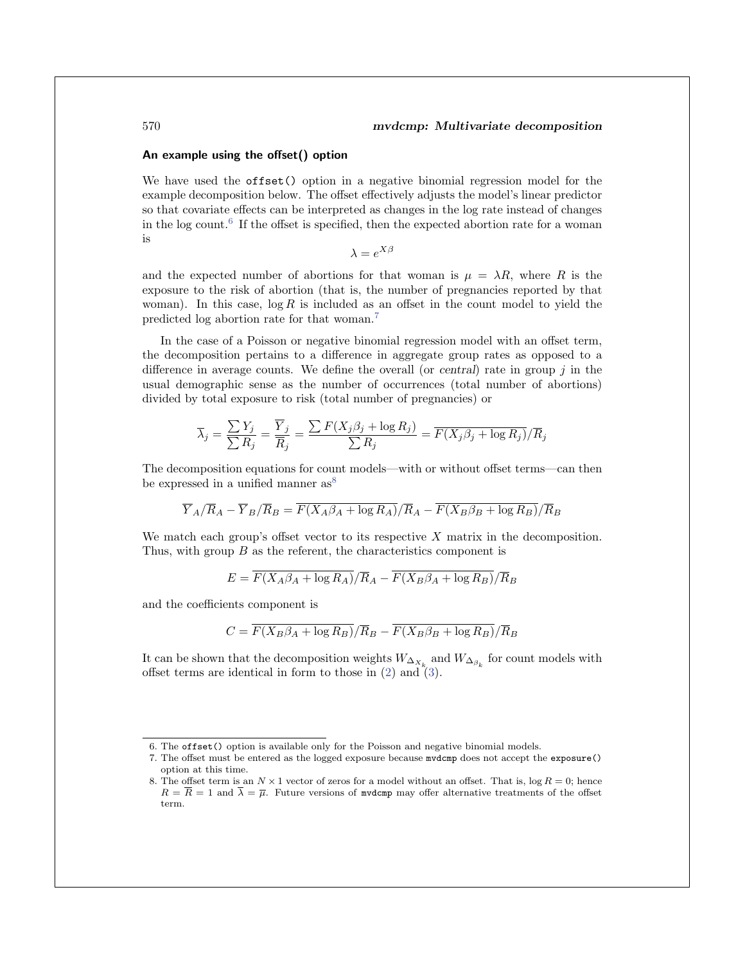#### **An example using the offset() option**

We have used the **offset**() option in a negative binomial regression model for the example decomposition below. The offset effectively adjusts the model's linear predictor so that covariate effects can be interpreted as changes in the log rate instead of changes in the log count.<sup>6</sup> If the offset is specified, then the expected abortion rate for a woman is

$$
\lambda = e^{X\beta}
$$

and the expected number of abortions for that woman is  $\mu = \lambda R$ , where R is the exposure to the risk of abortion (that is, the number of pregnancies reported by that woman). In this case,  $\log R$  is included as an offset in the count model to yield the predicted log abortion rate for that woman.<sup>7</sup>

In the case of a Poisson or negative binomial regression model with an offset term, the decomposition pertains to a difference in aggregate group rates as opposed to a difference in average counts. We define the overall (or *central*) rate in group j in the usual demographic sense as the number of occurrences (total number of abortions) divided by total exposure to risk (total number of pregnancies) or

$$
\overline{\lambda}_j = \frac{\sum Y_j}{\sum R_j} = \frac{\overline{Y}_j}{\overline{R}_j} = \frac{\sum F(X_j \beta_j + \log R_j)}{\sum R_j} = \overline{F(X_j \beta_j + \log R_j)}/\overline{R}_j
$$

The decomposition equations for count models—with or without offset terms—can then be expressed in a unified manner  $as^8$ 

$$
\overline{Y}_A/\overline{R}_A - \overline{Y}_B/\overline{R}_B = \overline{F(X_A\beta_A + \log R_A)}/\overline{R}_A - \overline{F(X_B\beta_B + \log R_B)}/\overline{R}_B
$$

We match each group's offset vector to its respective  $X$  matrix in the decomposition. Thus, with group  $B$  as the referent, the characteristics component is

$$
E = \overline{F(X_A\beta_A + \log R_A)}/\overline{R}_A - \overline{F(X_B\beta_A + \log R_B)}/\overline{R}_B
$$

and the coefficients component is

$$
C = \overline{F(X_B \beta_A + \log R_B)} / \overline{R}_B - \overline{F(X_B \beta_B + \log R_B)} / \overline{R}_B
$$

It can be shown that the decomposition weights  $W_{\Delta_{X_k}}$  and  $W_{\Delta_{\beta_k}}$  for count models with offset terms are identical in form to those in  $(2)$  and  $(3)$ .

<sup>6.</sup> The offset() option is available only for the Poisson and negative binomial models.

<sup>7.</sup> The offset must be entered as the logged exposure because mvdcmp does not accept the exposure() option at this time.

<sup>8.</sup> The offset term is an  $N \times 1$  vector of zeros for a model without an offset. That is,  $\log R = 0$ ; hence  $R = \overline{R} = 1$  and  $\overline{\lambda} = \overline{\mu}$ . Future versions of modern may offer alternative treatments of the offset term.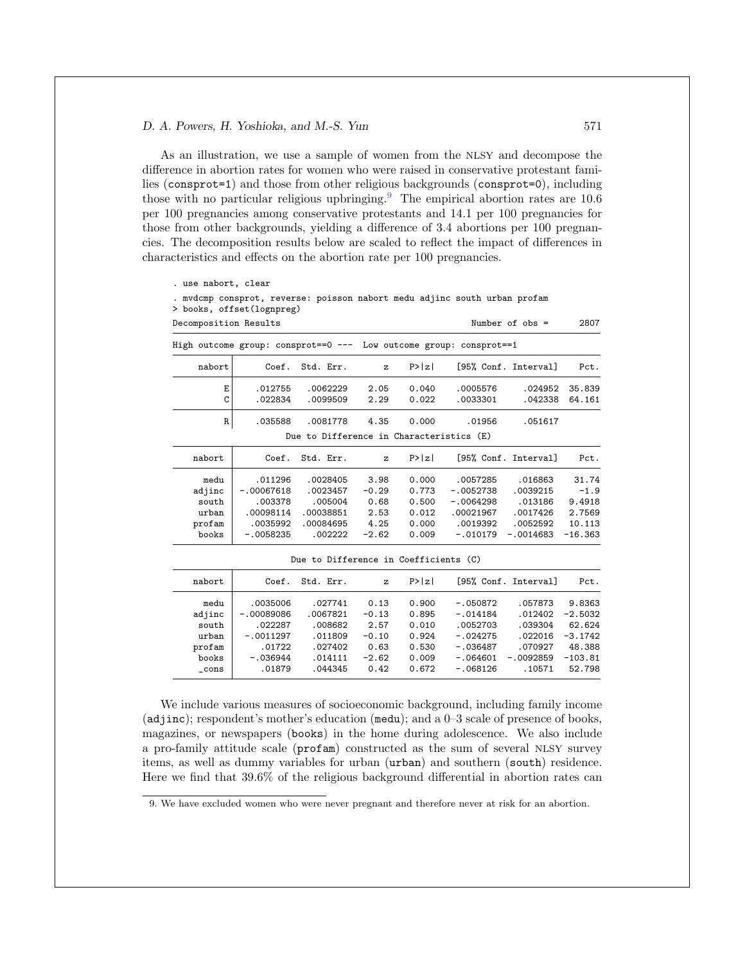As an illustration, we use a sample of women from the NLSY and decompose the difference in abortion rates for women who were raised in conservative protestant families (consprot=1) and those from other religious backgrounds (consprot=0), including those with no particular religious upbringing.<sup>9</sup> The empirical abortion rates are  $10.\overline{6}$ per 100 pregnancies among conservative protestants and 14.1 per 100 pregnancies for those from other backgrounds, yielding a difference of 3.4 abortions per 100 pregnancies. The decomposition results below are scaled to reflect the impact of differences in characteristics and effects on the abortion rate per 100 pregnancies.

```
. use nabort, clear
. mvdcmp consprot, reverse: poisson nabort medu adjinc south urban profam
```

```
> books, offset(lognpreg)
```

| Decomposition Results |                                                                    |                                          |              |        |             | Number of $obs =$    | 2807      |
|-----------------------|--------------------------------------------------------------------|------------------------------------------|--------------|--------|-------------|----------------------|-----------|
|                       | High outcome group: consprot==0 --- Low outcome group: consprot==1 |                                          |              |        |             |                      |           |
| nabort                | Coef.                                                              | Std. Err.                                | $\mathbf{z}$ | P>  z  |             | [95% Conf. Interval] | Pct.      |
| Ε                     | .012755                                                            | .0062229                                 | 2.05         | 0.040  | .0005576    | .024952              | 35.839    |
| C                     | .022834                                                            | .0099509                                 | 2.29         | 0.022  | .0033301    | .042338              | 64.161    |
| R                     | .035588                                                            | .0081778                                 | 4.35         | 0.000  | .01956      | .051617              |           |
|                       |                                                                    | Due to Difference in Characteristics (E) |              |        |             |                      |           |
| nabort                | Coef.                                                              | Std. Err.                                | $\mathbf{z}$ | P >  z |             | [95% Conf. Interval] | Pct.      |
| medu                  | .011296                                                            | .0028405                                 | 3.98         | 0.000  | .0057285    | .016863              | 31.74     |
| adjinc                | $-.00067618$                                                       | .0023457                                 | $-0.29$      | 0.773  | $-.0052738$ | .0039215             | $-1.9$    |
| south                 | .003378                                                            | .005004                                  | 0.68         | 0.500  | $-.0064298$ | .013186              | 9.4918    |
| urban                 | .00098114                                                          | .00038851                                | 2.53         | 0.012  | .00021967   | .0017426             | 2.7569    |
| profam                | .0035992                                                           | .00084695                                | 4.25         | 0.000  | .0019392    | .0052592             | 10.113    |
| books                 | $-.0058235$                                                        | .002222                                  | $-2.62$      | 0.009  | $-.010179$  | $-.0014683$          | $-16.363$ |

Due to Difference in Coefficients (C)

| nabort | Coef.        | Std. Err. | $\mathbf{z}$ | P >  z |            | [95% Conf. Interval] | Pct.      |
|--------|--------------|-----------|--------------|--------|------------|----------------------|-----------|
| medu   | .0035006     | .027741   | 0.13         | 0.900  | $-.050872$ | .057873              | 9.8363    |
| adjinc | $-.00089086$ | .0067821  | $-0.13$      | 0.895  | $-.014184$ | .012402              | $-2.5032$ |
| south  | .022287      | .008682   | 2.57         | 0.010  | .0052703   | .039304              | 62.624    |
| urban  | $-.0011297$  | .011809   | $-0.10$      | 0.924  | $-.024275$ | .022016              | $-3.1742$ |
| profam | .01722       | .027402   | 0.63         | 0.530  | $-.036487$ | .070927              | 48.388    |
| books  | $-.036944$   | .014111   | $-2.62$      | 0.009  | $-.064601$ | $-.0092859$          | $-103.81$ |
| cons   | .01879       | .044345   | 0.42         | 0.672  | $-.068126$ | .10571               | 52.798    |

We include various measures of socioeconomic background, including family income (adjinc); respondent's mother's education (medu); and a 0–3 scale of presence of books, magazines, or newspapers (books) in the home during adolescence. We also include a pro-family attitude scale (profam) constructed as the sum of several NLSY survey items, as well as dummy variables for urban (urban) and southern (south) residence. Here we find that 39.6% of the religious background differential in abortion rates can

<sup>9.</sup> We have excluded women who were never pregnant and therefore never at risk for an abortion.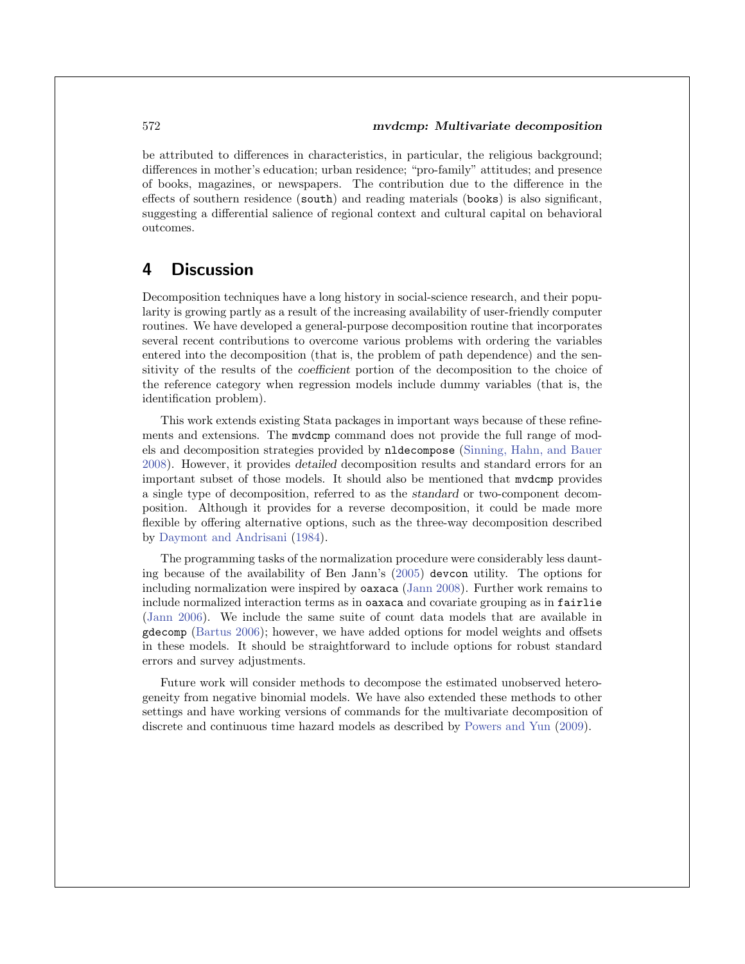be attributed to differences in characteristics, in particular, the religious background; differences in mother's education; urban residence; "pro-family" attitudes; and presence of books, magazines, or newspapers. The contribution due to the difference in the effects of southern residence (south) and reading materials (books) is also significant, suggesting a differential salience of regional context and cultural capital on behavioral outcomes.

## **4 Discussion**

Decomposition techniques have a long history in social-science research, and their popularity is growing partly as a result of the increasing availability of user-friendly computer routines. We have developed a general-purpose decomposition routine that incorporates several recent contributions to overcome various problems with ordering the variables entered into the decomposition (that is, the problem of path dependence) and the sensitivity of the results of the *coefficient* portion of the decomposition to the choice of the reference category when regression models include dummy variables (that is, the identification problem).

This work extends existing Stata packages in important ways because of these refinements and extensions. The mvdcmp command does not provide the full range of models and decomposition strategies provided by nldecompose (Sinning, Hahn, and Bauer 2008). However, it provides *detailed* decomposition results and standard errors for an important subset of those models. It should also be mentioned that mvdcmp provides a single type of decomposition, referred to as the *standard* or two-component decomposition. Although it provides for a reverse decomposition, it could be made more flexible by offering alternative options, such as the three-way decomposition described by Daymont and Andrisani (1984).

The programming tasks of the normalization procedure were considerably less daunting because of the availability of Ben Jann's (2005) devcon utility. The options for including normalization were inspired by oaxaca (Jann 2008). Further work remains to include normalized interaction terms as in oaxaca and covariate grouping as in fairlie (Jann 2006). We include the same suite of count data models that are available in gdecomp (Bartus 2006); however, we have added options for model weights and offsets in these models. It should be straightforward to include options for robust standard errors and survey adjustments.

Future work will consider methods to decompose the estimated unobserved heterogeneity from negative binomial models. We have also extended these methods to other settings and have working versions of commands for the multivariate decomposition of discrete and continuous time hazard models as described by Powers and Yun (2009).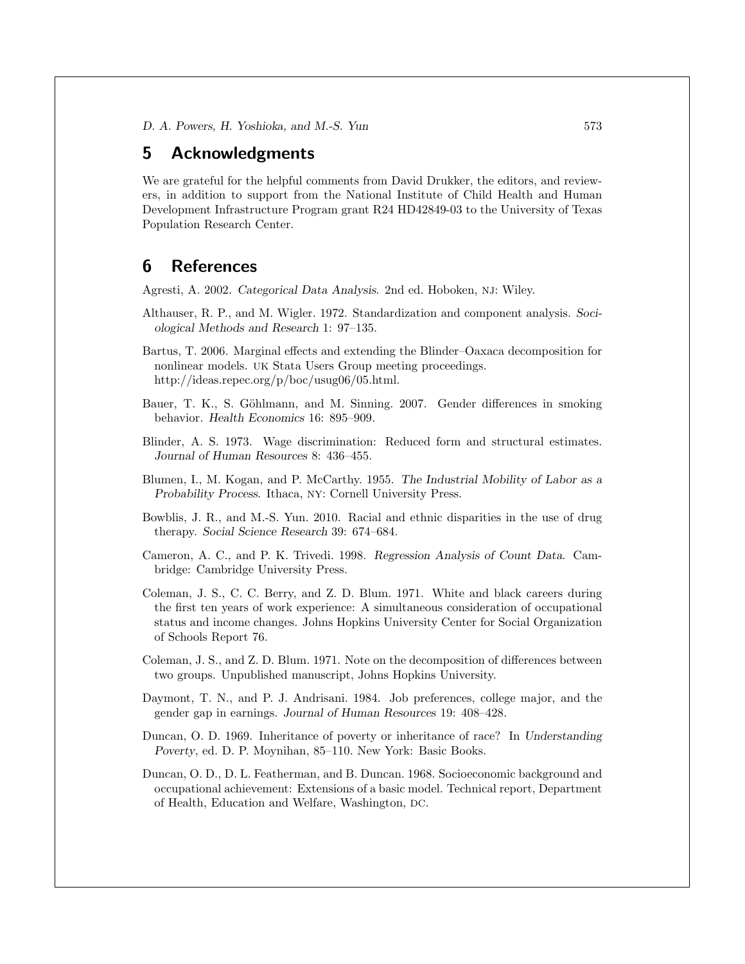## **5 Acknowledgments**

We are grateful for the helpful comments from David Drukker, the editors, and reviewers, in addition to support from the National Institute of Child Health and Human Development Infrastructure Program grant R24 HD42849-03 to the University of Texas Population Research Center.

## **6 References**

Agresti, A. 2002. *Categorical Data Analysis*. 2nd ed. Hoboken, NJ: Wiley.

- Althauser, R. P., and M. Wigler. 1972. Standardization and component analysis. *Sociological Methods and Research* 1: 97–135.
- Bartus, T. 2006. Marginal effects and extending the Blinder–Oaxaca decomposition for nonlinear models. UK Stata Users Group meeting proceedings. http://ideas.repec.org/p/boc/usug06/05.html.
- Bauer, T. K., S. Göhlmann, and M. Sinning. 2007. Gender differences in smoking behavior. *Health Economics* 16: 895–909.
- Blinder, A. S. 1973. Wage discrimination: Reduced form and structural estimates. *Journal of Human Resources* 8: 436–455.
- Blumen, I., M. Kogan, and P. McCarthy. 1955. *The Industrial Mobility of Labor as a Probability Process*. Ithaca, NY: Cornell University Press.
- Bowblis, J. R., and M.-S. Yun. 2010. Racial and ethnic disparities in the use of drug therapy. *Social Science Research* 39: 674–684.
- Cameron, A. C., and P. K. Trivedi. 1998. *Regression Analysis of Count Data*. Cambridge: Cambridge University Press.
- Coleman, J. S., C. C. Berry, and Z. D. Blum. 1971. White and black careers during the first ten years of work experience: A simultaneous consideration of occupational status and income changes. Johns Hopkins University Center for Social Organization of Schools Report 76.
- Coleman, J. S., and Z. D. Blum. 1971. Note on the decomposition of differences between two groups. Unpublished manuscript, Johns Hopkins University.
- Daymont, T. N., and P. J. Andrisani. 1984. Job preferences, college major, and the gender gap in earnings. *Journal of Human Resources* 19: 408–428.
- Duncan, O. D. 1969. Inheritance of poverty or inheritance of race? In *Understanding Poverty*, ed. D. P. Moynihan, 85–110. New York: Basic Books.
- Duncan, O. D., D. L. Featherman, and B. Duncan. 1968. Socioeconomic background and occupational achievement: Extensions of a basic model. Technical report, Department of Health, Education and Welfare, Washington, DC.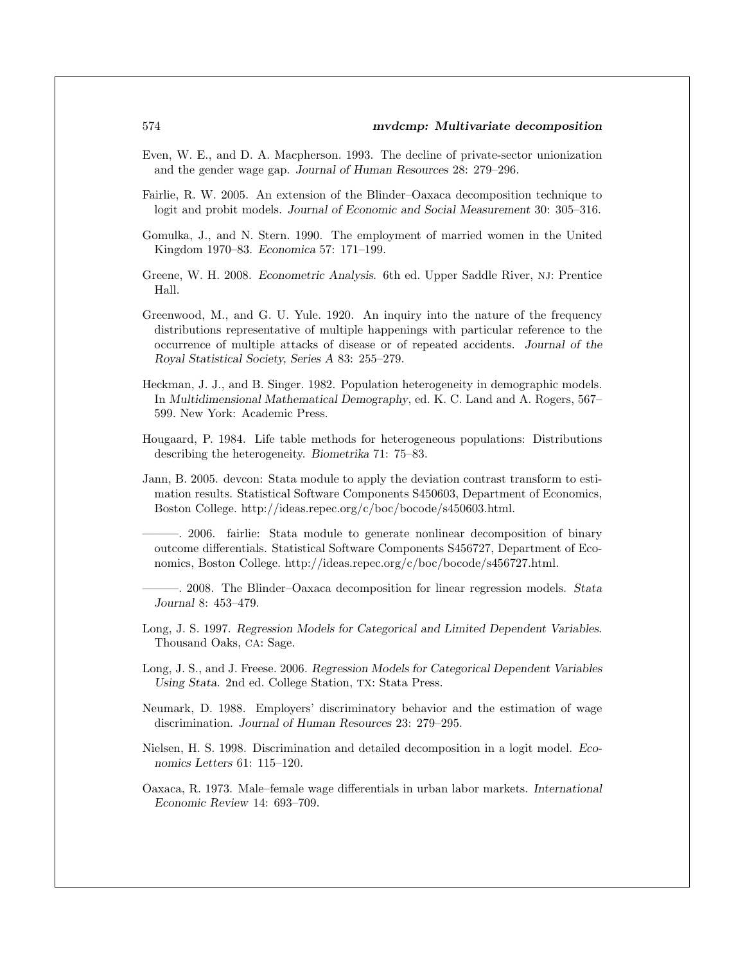- Even, W. E., and D. A. Macpherson. 1993. The decline of private-sector unionization and the gender wage gap. *Journal of Human Resources* 28: 279–296.
- Fairlie, R. W. 2005. An extension of the Blinder–Oaxaca decomposition technique to logit and probit models. *Journal of Economic and Social Measurement* 30: 305–316.
- Gomulka, J., and N. Stern. 1990. The employment of married women in the United Kingdom 1970–83. *Economica* 57: 171–199.
- Greene, W. H. 2008. *Econometric Analysis*. 6th ed. Upper Saddle River, NJ: Prentice Hall.
- Greenwood, M., and G. U. Yule. 1920. An inquiry into the nature of the frequency distributions representative of multiple happenings with particular reference to the occurrence of multiple attacks of disease or of repeated accidents. *Journal of the Royal Statistical Society, Series A* 83: 255–279.
- Heckman, J. J., and B. Singer. 1982. Population heterogeneity in demographic models. In *Multidimensional Mathematical Demography*, ed. K. C. Land and A. Rogers, 567– 599. New York: Academic Press.
- Hougaard, P. 1984. Life table methods for heterogeneous populations: Distributions describing the heterogeneity. *Biometrika* 71: 75–83.
- Jann, B. 2005. devcon: Stata module to apply the deviation contrast transform to estimation results. Statistical Software Components S450603, Department of Economics, Boston College. http://ideas.repec.org/c/boc/bocode/s450603.html.
- ———. 2006. fairlie: Stata module to generate nonlinear decomposition of binary outcome differentials. Statistical Software Components S456727, Department of Economics, Boston College. http://ideas.repec.org/c/boc/bocode/s456727.html.
- ———. 2008. The Blinder–Oaxaca decomposition for linear regression models. *Stata Journal* 8: 453–479.
- Long, J. S. 1997. *Regression Models for Categorical and Limited Dependent Variables*. Thousand Oaks, CA: Sage.
- Long, J. S., and J. Freese. 2006. *Regression Models for Categorical Dependent Variables Using Stata*. 2nd ed. College Station, TX: Stata Press.
- Neumark, D. 1988. Employers' discriminatory behavior and the estimation of wage discrimination. *Journal of Human Resources* 23: 279–295.
- Nielsen, H. S. 1998. Discrimination and detailed decomposition in a logit model. *Economics Letters* 61: 115–120.
- Oaxaca, R. 1973. Male–female wage differentials in urban labor markets. *International Economic Review* 14: 693–709.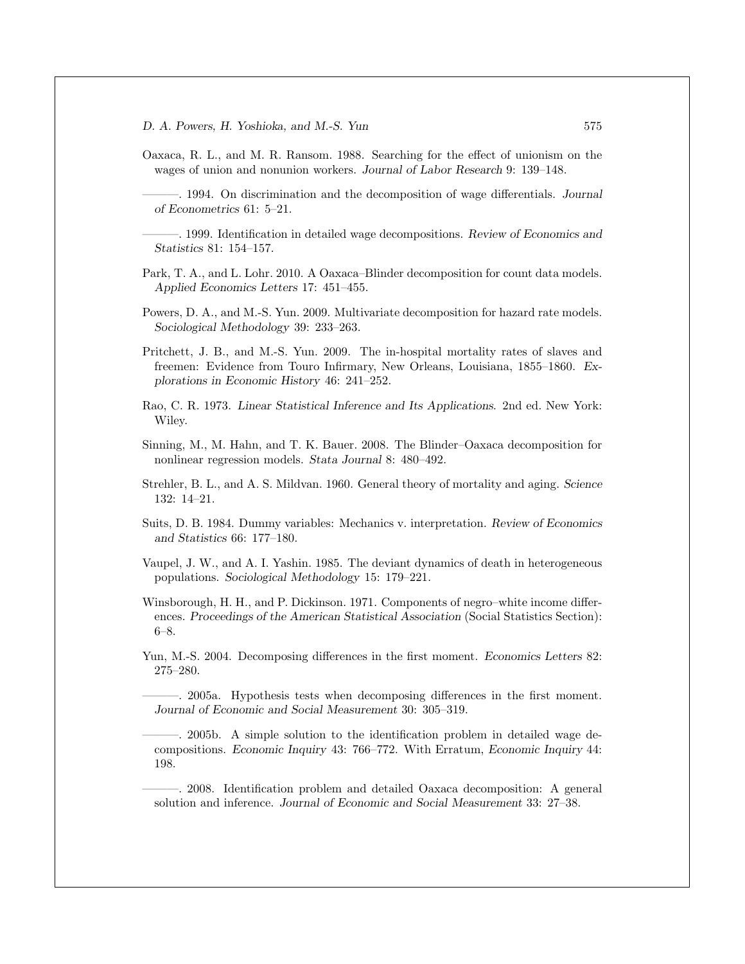- Oaxaca, R. L., and M. R. Ransom. 1988. Searching for the effect of unionism on the wages of union and nonunion workers. *Journal of Labor Research* 9: 139–148.
- ———. 1994. On discrimination and the decomposition of wage differentials. *Journal of Econometrics* 61: 5–21.
- ———. 1999. Identification in detailed wage decompositions. *Review of Economics and Statistics* 81: 154–157.
- Park, T. A., and L. Lohr. 2010. A Oaxaca–Blinder decomposition for count data models. *Applied Economics Letters* 17: 451–455.
- Powers, D. A., and M.-S. Yun. 2009. Multivariate decomposition for hazard rate models. *Sociological Methodology* 39: 233–263.
- Pritchett, J. B., and M.-S. Yun. 2009. The in-hospital mortality rates of slaves and freemen: Evidence from Touro Infirmary, New Orleans, Louisiana, 1855–1860. *Explorations in Economic History* 46: 241–252.
- Rao, C. R. 1973. *Linear Statistical Inference and Its Applications*. 2nd ed. New York: Wiley.
- Sinning, M., M. Hahn, and T. K. Bauer. 2008. The Blinder–Oaxaca decomposition for nonlinear regression models. *Stata Journal* 8: 480–492.
- Strehler, B. L., and A. S. Mildvan. 1960. General theory of mortality and aging. *Science* 132: 14–21.
- Suits, D. B. 1984. Dummy variables: Mechanics v. interpretation. *Review of Economics and Statistics* 66: 177–180.
- Vaupel, J. W., and A. I. Yashin. 1985. The deviant dynamics of death in heterogeneous populations. *Sociological Methodology* 15: 179–221.
- Winsborough, H. H., and P. Dickinson. 1971. Components of negro–white income differences. *Proceedings of the American Statistical Association* (Social Statistics Section): 6–8.
- Yun, M.-S. 2004. Decomposing differences in the first moment. *Economics Letters* 82: 275–280.
	- ———. 2005a. Hypothesis tests when decomposing differences in the first moment. *Journal of Economic and Social Measurement* 30: 305–319.
	- ———. 2005b. A simple solution to the identification problem in detailed wage decompositions. *Economic Inquiry* 43: 766–772. With Erratum, *Economic Inquiry* 44: 198.
	- ———. 2008. Identification problem and detailed Oaxaca decomposition: A general solution and inference. *Journal of Economic and Social Measurement* 33: 27–38.